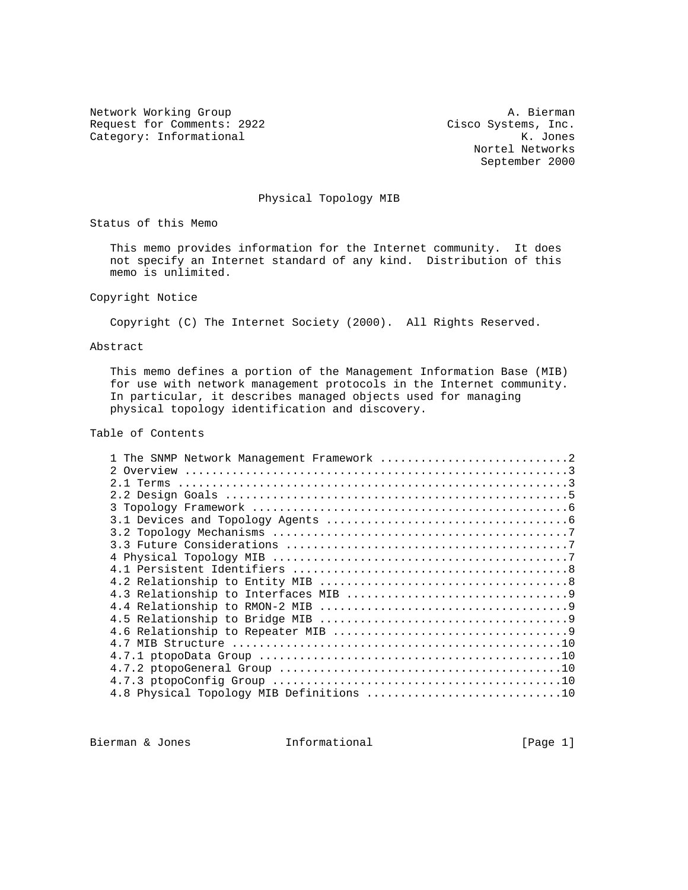Request for Comments: 2922 Cisco Systems, Inc.<br>Category: Informational Mategory: Informational Mategory: Category: Informational Category: Informational

Network Working Group and A. Bierman A. Bierman Nortel Networks September 2000

# Physical Topology MIB

Status of this Memo

 This memo provides information for the Internet community. It does not specify an Internet standard of any kind. Distribution of this memo is unlimited.

# Copyright Notice

Copyright (C) The Internet Society (2000). All Rights Reserved.

# Abstract

 This memo defines a portion of the Management Information Base (MIB) for use with network management protocols in the Internet community. In particular, it describes managed objects used for managing physical topology identification and discovery.

# Table of Contents

| 1 The SNMP Network Management Framework 2 |
|-------------------------------------------|
|                                           |
|                                           |
|                                           |
|                                           |
|                                           |
|                                           |
|                                           |
|                                           |
|                                           |
|                                           |
|                                           |
|                                           |
|                                           |
|                                           |
|                                           |
|                                           |
|                                           |
|                                           |
|                                           |

Bierman & Jones 11 (Page 1)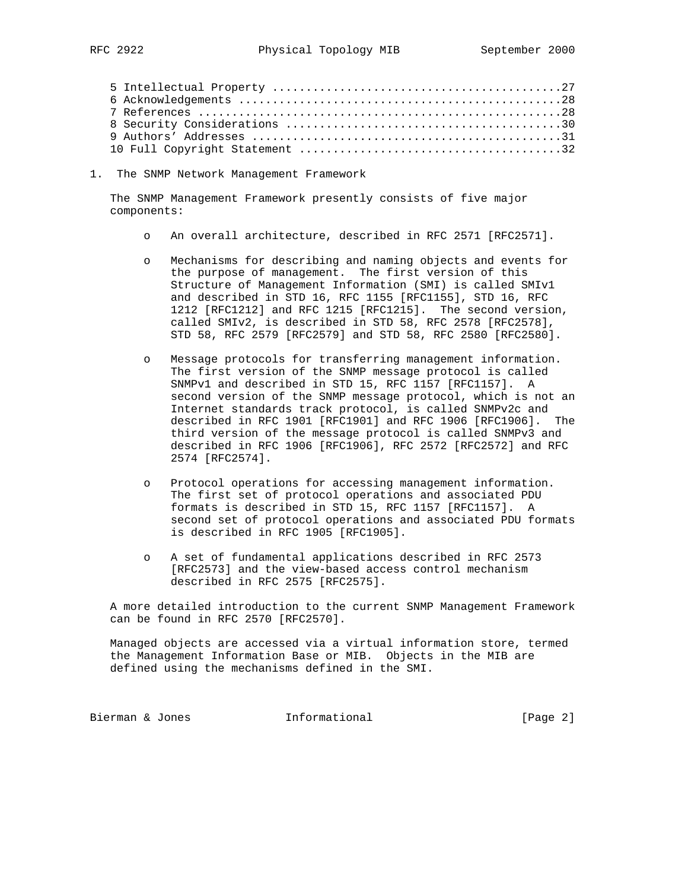1. The SNMP Network Management Framework

 The SNMP Management Framework presently consists of five major components:

- o An overall architecture, described in RFC 2571 [RFC2571].
- o Mechanisms for describing and naming objects and events for the purpose of management. The first version of this Structure of Management Information (SMI) is called SMIv1 and described in STD 16, RFC 1155 [RFC1155], STD 16, RFC 1212 [RFC1212] and RFC 1215 [RFC1215]. The second version, called SMIv2, is described in STD 58, RFC 2578 [RFC2578], STD 58, RFC 2579 [RFC2579] and STD 58, RFC 2580 [RFC2580].
- o Message protocols for transferring management information. The first version of the SNMP message protocol is called SNMPv1 and described in STD 15, RFC 1157 [RFC1157]. A second version of the SNMP message protocol, which is not an Internet standards track protocol, is called SNMPv2c and described in RFC 1901 [RFC1901] and RFC 1906 [RFC1906]. The third version of the message protocol is called SNMPv3 and described in RFC 1906 [RFC1906], RFC 2572 [RFC2572] and RFC 2574 [RFC2574].
- Protocol operations for accessing management information. The first set of protocol operations and associated PDU formats is described in STD 15, RFC 1157 [RFC1157]. A second set of protocol operations and associated PDU formats is described in RFC 1905 [RFC1905].
- o A set of fundamental applications described in RFC 2573 [RFC2573] and the view-based access control mechanism described in RFC 2575 [RFC2575].

 A more detailed introduction to the current SNMP Management Framework can be found in RFC 2570 [RFC2570].

 Managed objects are accessed via a virtual information store, termed the Management Information Base or MIB. Objects in the MIB are defined using the mechanisms defined in the SMI.

Bierman & Jones 1nformational (Page 2)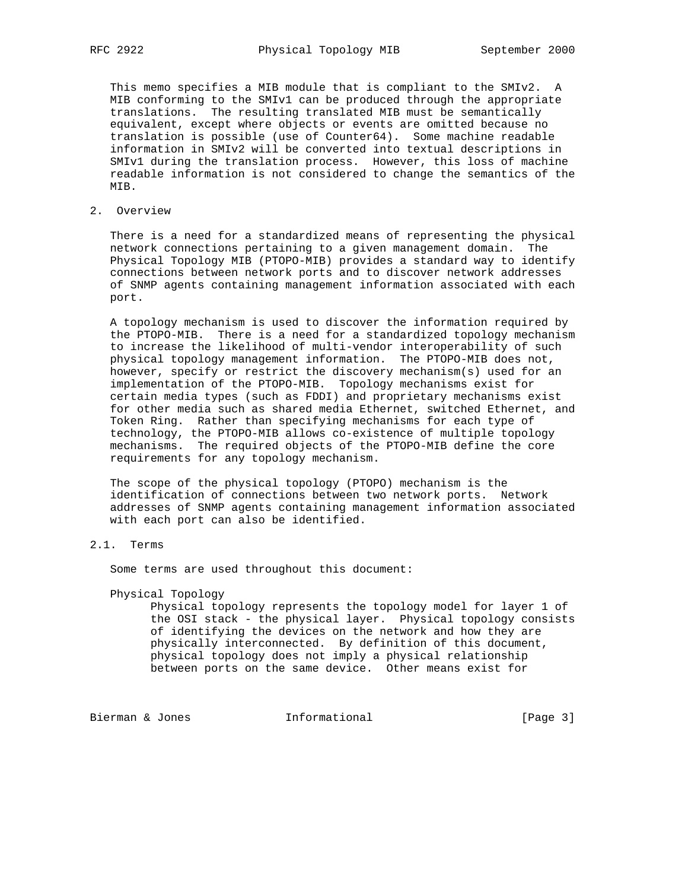This memo specifies a MIB module that is compliant to the SMIv2. A MIB conforming to the SMIv1 can be produced through the appropriate translations. The resulting translated MIB must be semantically equivalent, except where objects or events are omitted because no translation is possible (use of Counter64). Some machine readable information in SMIv2 will be converted into textual descriptions in SMIv1 during the translation process. However, this loss of machine readable information is not considered to change the semantics of the MIB.

2. Overview

 There is a need for a standardized means of representing the physical network connections pertaining to a given management domain. The Physical Topology MIB (PTOPO-MIB) provides a standard way to identify connections between network ports and to discover network addresses of SNMP agents containing management information associated with each port.

 A topology mechanism is used to discover the information required by the PTOPO-MIB. There is a need for a standardized topology mechanism to increase the likelihood of multi-vendor interoperability of such physical topology management information. The PTOPO-MIB does not, however, specify or restrict the discovery mechanism(s) used for an implementation of the PTOPO-MIB. Topology mechanisms exist for certain media types (such as FDDI) and proprietary mechanisms exist for other media such as shared media Ethernet, switched Ethernet, and Token Ring. Rather than specifying mechanisms for each type of technology, the PTOPO-MIB allows co-existence of multiple topology mechanisms. The required objects of the PTOPO-MIB define the core requirements for any topology mechanism.

 The scope of the physical topology (PTOPO) mechanism is the identification of connections between two network ports. Network addresses of SNMP agents containing management information associated with each port can also be identified.

# 2.1. Terms

Some terms are used throughout this document:

Physical Topology

 Physical topology represents the topology model for layer 1 of the OSI stack - the physical layer. Physical topology consists of identifying the devices on the network and how they are physically interconnected. By definition of this document, physical topology does not imply a physical relationship between ports on the same device. Other means exist for

Bierman & Jones (Page 3)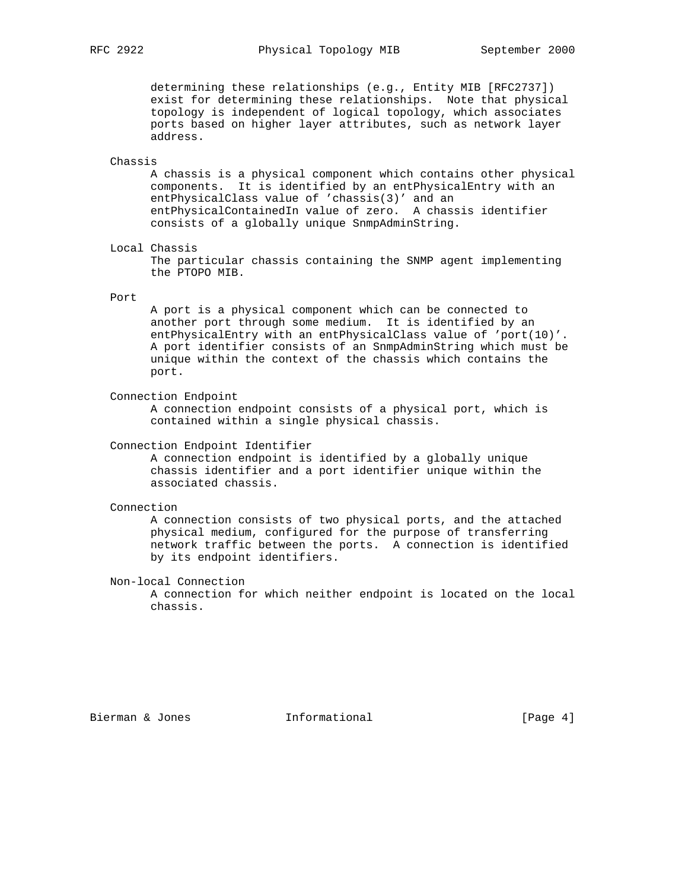determining these relationships (e.g., Entity MIB [RFC2737]) exist for determining these relationships. Note that physical topology is independent of logical topology, which associates ports based on higher layer attributes, such as network layer address.

#### Chassis

 A chassis is a physical component which contains other physical components. It is identified by an entPhysicalEntry with an entPhysicalClass value of 'chassis(3)' and an entPhysicalContainedIn value of zero. A chassis identifier consists of a globally unique SnmpAdminString.

Local Chassis

 The particular chassis containing the SNMP agent implementing the PTOPO MIB.

### Port

 A port is a physical component which can be connected to another port through some medium. It is identified by an entPhysicalEntry with an entPhysicalClass value of 'port(10)'. A port identifier consists of an SnmpAdminString which must be unique within the context of the chassis which contains the port.

Connection Endpoint

 A connection endpoint consists of a physical port, which is contained within a single physical chassis.

#### Connection Endpoint Identifier

 A connection endpoint is identified by a globally unique chassis identifier and a port identifier unique within the associated chassis.

# Connection

 A connection consists of two physical ports, and the attached physical medium, configured for the purpose of transferring network traffic between the ports. A connection is identified by its endpoint identifiers.

Non-local Connection

 A connection for which neither endpoint is located on the local chassis.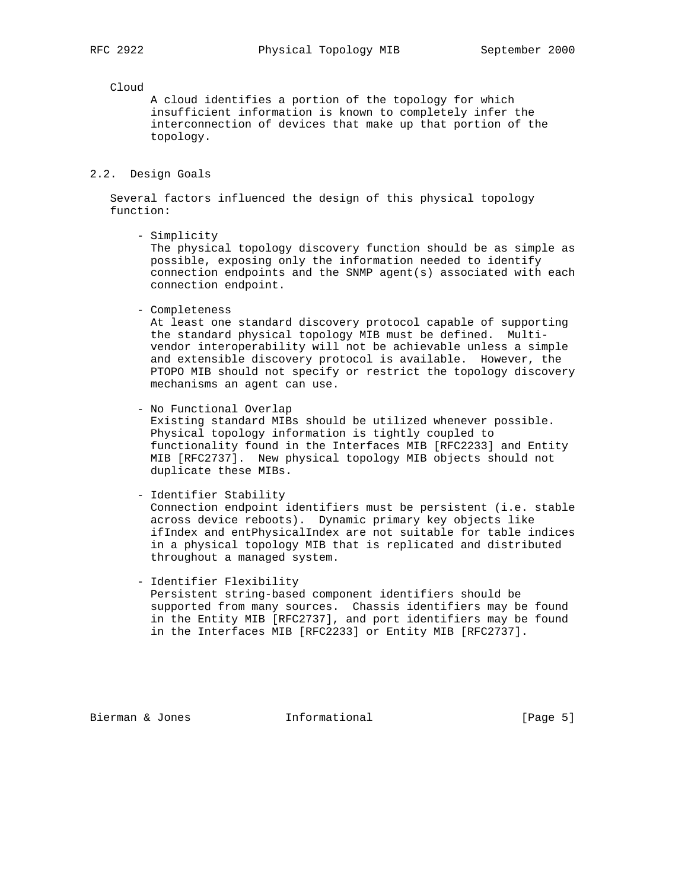#### Cloud

 A cloud identifies a portion of the topology for which insufficient information is known to completely infer the interconnection of devices that make up that portion of the topology.

2.2. Design Goals

 Several factors influenced the design of this physical topology function:

- Simplicity

 The physical topology discovery function should be as simple as possible, exposing only the information needed to identify connection endpoints and the SNMP agent(s) associated with each connection endpoint.

- Completeness

 At least one standard discovery protocol capable of supporting the standard physical topology MIB must be defined. Multi vendor interoperability will not be achievable unless a simple and extensible discovery protocol is available. However, the PTOPO MIB should not specify or restrict the topology discovery mechanisms an agent can use.

- No Functional Overlap

 Existing standard MIBs should be utilized whenever possible. Physical topology information is tightly coupled to functionality found in the Interfaces MIB [RFC2233] and Entity MIB [RFC2737]. New physical topology MIB objects should not duplicate these MIBs.

- Identifier Stability

 Connection endpoint identifiers must be persistent (i.e. stable across device reboots). Dynamic primary key objects like ifIndex and entPhysicalIndex are not suitable for table indices in a physical topology MIB that is replicated and distributed throughout a managed system.

 - Identifier Flexibility Persistent string-based component identifiers should be supported from many sources. Chassis identifiers may be found in the Entity MIB [RFC2737], and port identifiers may be found in the Interfaces MIB [RFC2233] or Entity MIB [RFC2737].

Bierman & Jones **Informational Example 1** [Page 5]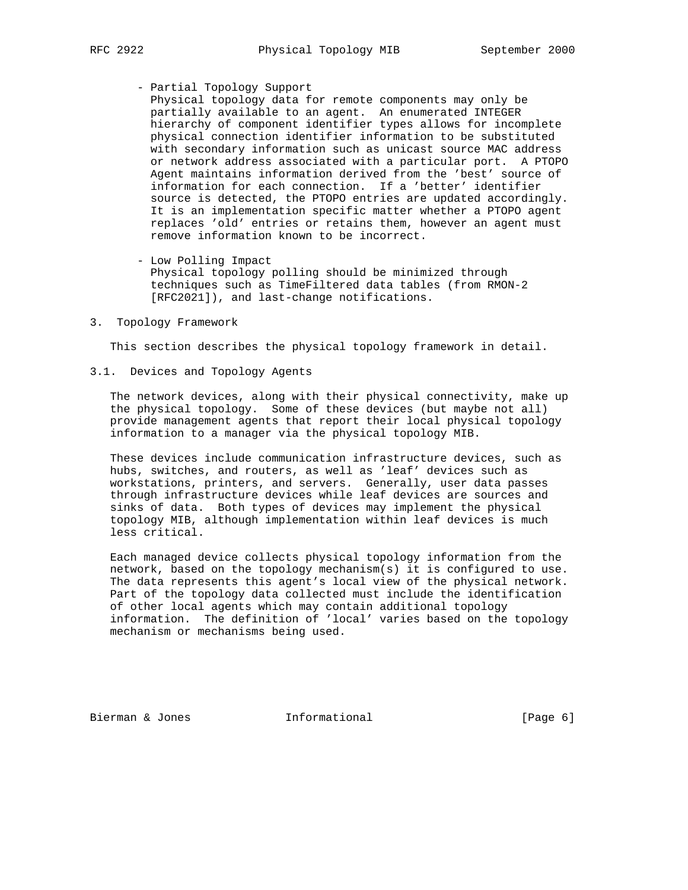- - Partial Topology Support

 Physical topology data for remote components may only be partially available to an agent. An enumerated INTEGER hierarchy of component identifier types allows for incomplete physical connection identifier information to be substituted with secondary information such as unicast source MAC address or network address associated with a particular port. A PTOPO Agent maintains information derived from the 'best' source of information for each connection. If a 'better' identifier source is detected, the PTOPO entries are updated accordingly. It is an implementation specific matter whether a PTOPO agent replaces 'old' entries or retains them, however an agent must remove information known to be incorrect.

- Low Polling Impact

 Physical topology polling should be minimized through techniques such as TimeFiltered data tables (from RMON-2 [RFC2021]), and last-change notifications.

3. Topology Framework

This section describes the physical topology framework in detail.

3.1. Devices and Topology Agents

 The network devices, along with their physical connectivity, make up the physical topology. Some of these devices (but maybe not all) provide management agents that report their local physical topology information to a manager via the physical topology MIB.

 These devices include communication infrastructure devices, such as hubs, switches, and routers, as well as 'leaf' devices such as workstations, printers, and servers. Generally, user data passes through infrastructure devices while leaf devices are sources and sinks of data. Both types of devices may implement the physical topology MIB, although implementation within leaf devices is much less critical.

 Each managed device collects physical topology information from the network, based on the topology mechanism(s) it is configured to use. The data represents this agent's local view of the physical network. Part of the topology data collected must include the identification of other local agents which may contain additional topology information. The definition of 'local' varies based on the topology mechanism or mechanisms being used.

Bierman & Jones 1nformational (Page 6)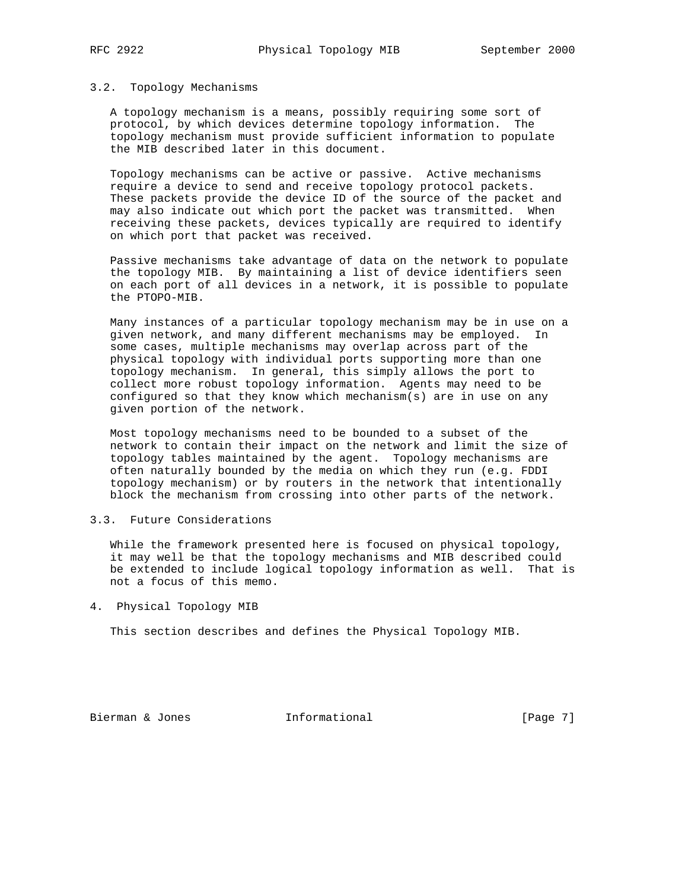# 3.2. Topology Mechanisms

 A topology mechanism is a means, possibly requiring some sort of protocol, by which devices determine topology information. The topology mechanism must provide sufficient information to populate the MIB described later in this document.

 Topology mechanisms can be active or passive. Active mechanisms require a device to send and receive topology protocol packets. These packets provide the device ID of the source of the packet and may also indicate out which port the packet was transmitted. When receiving these packets, devices typically are required to identify on which port that packet was received.

 Passive mechanisms take advantage of data on the network to populate the topology MIB. By maintaining a list of device identifiers seen on each port of all devices in a network, it is possible to populate the PTOPO-MIB.

 Many instances of a particular topology mechanism may be in use on a given network, and many different mechanisms may be employed. In some cases, multiple mechanisms may overlap across part of the physical topology with individual ports supporting more than one topology mechanism. In general, this simply allows the port to collect more robust topology information. Agents may need to be configured so that they know which mechanism(s) are in use on any given portion of the network.

 Most topology mechanisms need to be bounded to a subset of the network to contain their impact on the network and limit the size of topology tables maintained by the agent. Topology mechanisms are often naturally bounded by the media on which they run (e.g. FDDI topology mechanism) or by routers in the network that intentionally block the mechanism from crossing into other parts of the network.

# 3.3. Future Considerations

 While the framework presented here is focused on physical topology, it may well be that the topology mechanisms and MIB described could be extended to include logical topology information as well. That is not a focus of this memo.

4. Physical Topology MIB

This section describes and defines the Physical Topology MIB.

Bierman & Jones 1nformational (Page 7)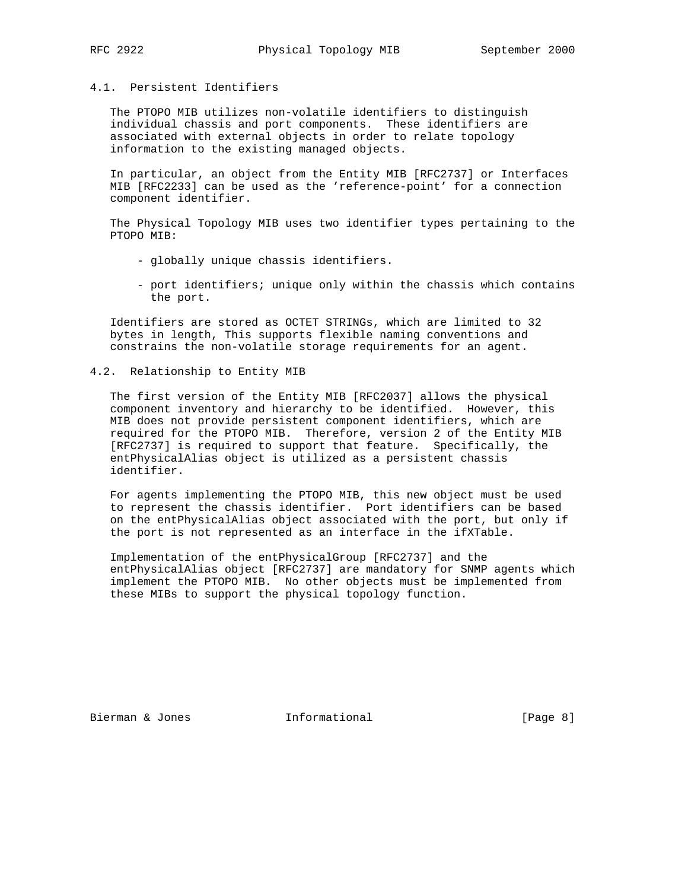# 4.1. Persistent Identifiers

 The PTOPO MIB utilizes non-volatile identifiers to distinguish individual chassis and port components. These identifiers are associated with external objects in order to relate topology information to the existing managed objects.

 In particular, an object from the Entity MIB [RFC2737] or Interfaces MIB [RFC2233] can be used as the 'reference-point' for a connection component identifier.

 The Physical Topology MIB uses two identifier types pertaining to the PTOPO MIB:

- globally unique chassis identifiers.
- port identifiers; unique only within the chassis which contains the port.

 Identifiers are stored as OCTET STRINGs, which are limited to 32 bytes in length, This supports flexible naming conventions and constrains the non-volatile storage requirements for an agent.

# 4.2. Relationship to Entity MIB

 The first version of the Entity MIB [RFC2037] allows the physical component inventory and hierarchy to be identified. However, this MIB does not provide persistent component identifiers, which are required for the PTOPO MIB. Therefore, version 2 of the Entity MIB [RFC2737] is required to support that feature. Specifically, the entPhysicalAlias object is utilized as a persistent chassis identifier.

 For agents implementing the PTOPO MIB, this new object must be used to represent the chassis identifier. Port identifiers can be based on the entPhysicalAlias object associated with the port, but only if the port is not represented as an interface in the ifXTable.

 Implementation of the entPhysicalGroup [RFC2737] and the entPhysicalAlias object [RFC2737] are mandatory for SNMP agents which implement the PTOPO MIB. No other objects must be implemented from these MIBs to support the physical topology function.

Bierman & Jones 1nformational (Page 8)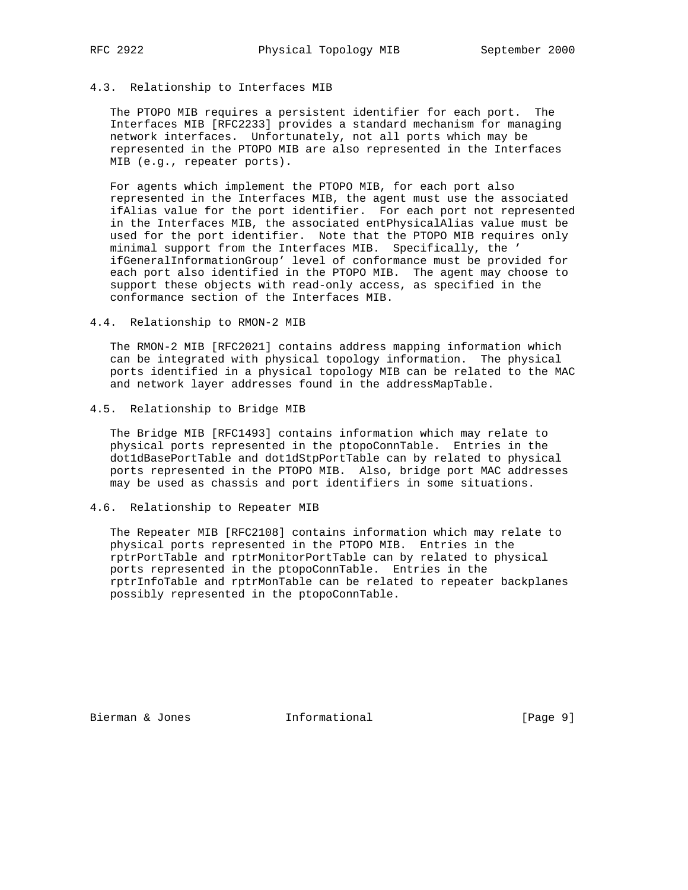# 4.3. Relationship to Interfaces MIB

 The PTOPO MIB requires a persistent identifier for each port. The Interfaces MIB [RFC2233] provides a standard mechanism for managing network interfaces. Unfortunately, not all ports which may be represented in the PTOPO MIB are also represented in the Interfaces MIB (e.g., repeater ports).

 For agents which implement the PTOPO MIB, for each port also represented in the Interfaces MIB, the agent must use the associated ifAlias value for the port identifier. For each port not represented in the Interfaces MIB, the associated entPhysicalAlias value must be used for the port identifier. Note that the PTOPO MIB requires only minimal support from the Interfaces MIB. Specifically, the ' ifGeneralInformationGroup' level of conformance must be provided for each port also identified in the PTOPO MIB. The agent may choose to support these objects with read-only access, as specified in the conformance section of the Interfaces MIB.

4.4. Relationship to RMON-2 MIB

 The RMON-2 MIB [RFC2021] contains address mapping information which can be integrated with physical topology information. The physical ports identified in a physical topology MIB can be related to the MAC and network layer addresses found in the addressMapTable.

4.5. Relationship to Bridge MIB

 The Bridge MIB [RFC1493] contains information which may relate to physical ports represented in the ptopoConnTable. Entries in the dot1dBasePortTable and dot1dStpPortTable can by related to physical ports represented in the PTOPO MIB. Also, bridge port MAC addresses may be used as chassis and port identifiers in some situations.

# 4.6. Relationship to Repeater MIB

 The Repeater MIB [RFC2108] contains information which may relate to physical ports represented in the PTOPO MIB. Entries in the rptrPortTable and rptrMonitorPortTable can by related to physical ports represented in the ptopoConnTable. Entries in the rptrInfoTable and rptrMonTable can be related to repeater backplanes possibly represented in the ptopoConnTable.

Bierman & Jones 1nformational (Page 9)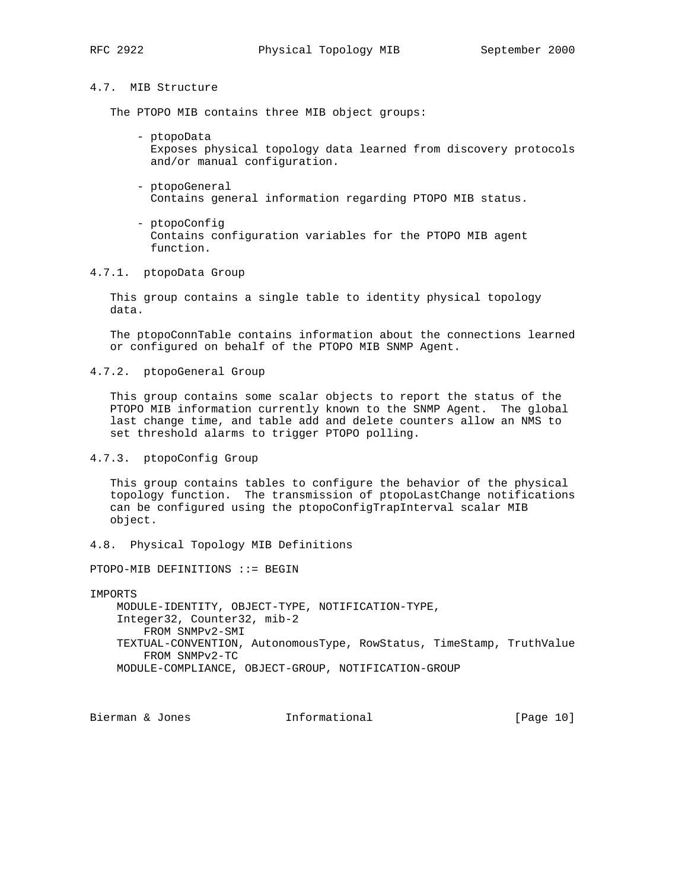# 4.7. MIB Structure

The PTOPO MIB contains three MIB object groups:

- ptopoData Exposes physical topology data learned from discovery protocols and/or manual configuration.
- ptopoGeneral Contains general information regarding PTOPO MIB status.
- ptopoConfig Contains configuration variables for the PTOPO MIB agent function.
- 4.7.1. ptopoData Group

 This group contains a single table to identity physical topology data.

 The ptopoConnTable contains information about the connections learned or configured on behalf of the PTOPO MIB SNMP Agent.

4.7.2. ptopoGeneral Group

 This group contains some scalar objects to report the status of the PTOPO MIB information currently known to the SNMP Agent. The global last change time, and table add and delete counters allow an NMS to set threshold alarms to trigger PTOPO polling.

# 4.7.3. ptopoConfig Group

 This group contains tables to configure the behavior of the physical topology function. The transmission of ptopoLastChange notifications can be configured using the ptopoConfigTrapInterval scalar MIB object.

4.8. Physical Topology MIB Definitions

PTOPO-MIB DEFINITIONS ::= BEGIN

IMPORTS

 MODULE-IDENTITY, OBJECT-TYPE, NOTIFICATION-TYPE, Integer32, Counter32, mib-2 FROM SNMPv2-SMI TEXTUAL-CONVENTION, AutonomousType, RowStatus, TimeStamp, TruthValue FROM SNMPv2-TC MODULE-COMPLIANCE, OBJECT-GROUP, NOTIFICATION-GROUP

Bierman & Jones **Informational** [Page 10]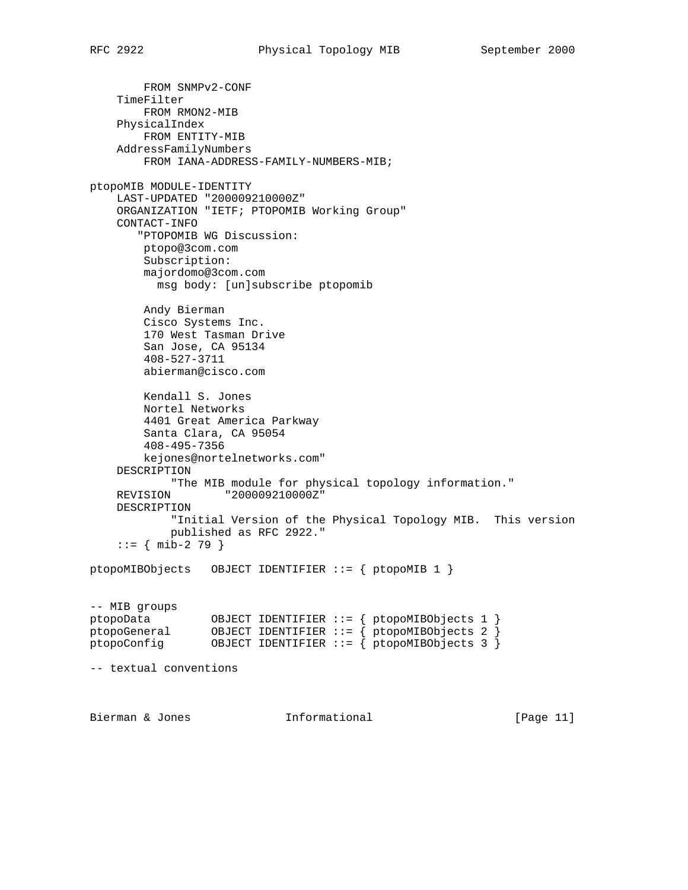```
 FROM SNMPv2-CONF
     TimeFilter
        FROM RMON2-MIB
     PhysicalIndex
        FROM ENTITY-MIB
    AddressFamilyNumbers
        FROM IANA-ADDRESS-FAMILY-NUMBERS-MIB;
ptopoMIB MODULE-IDENTITY
    LAST-UPDATED "200009210000Z"
    ORGANIZATION "IETF; PTOPOMIB Working Group"
    CONTACT-INFO
        "PTOPOMIB WG Discussion:
        ptopo@3com.com
        Subscription:
        majordomo@3com.com
          msg body: [un]subscribe ptopomib
        Andy Bierman
        Cisco Systems Inc.
        170 West Tasman Drive
        San Jose, CA 95134
        408-527-3711
        abierman@cisco.com
        Kendall S. Jones
        Nortel Networks
        4401 Great America Parkway
        Santa Clara, CA 95054
        408-495-7356
        kejones@nortelnetworks.com"
     DESCRIPTION
            "The MIB module for physical topology information."
    REVISION "200009210000Z"
    DESCRIPTION
            "Initial Version of the Physical Topology MIB. This version
            published as RFC 2922."
    ::= { mib-2 79 }
ptopoMIBObjects OBJECT IDENTIFIER ::= { ptopoMIB 1 }
-- MIB groups
ptopoData OBJECT IDENTIFIER ::= { ptopoMIBObjects 1 }
ptopoGeneral OBJECT IDENTIFIER ::= { ptopoMIBObjects 2 }
ptopoConfig OBJECT IDENTIFIER ::= { ptopoMIBObjects 3 }
-- textual conventions
Bierman & Jones Informational [Page 11]
```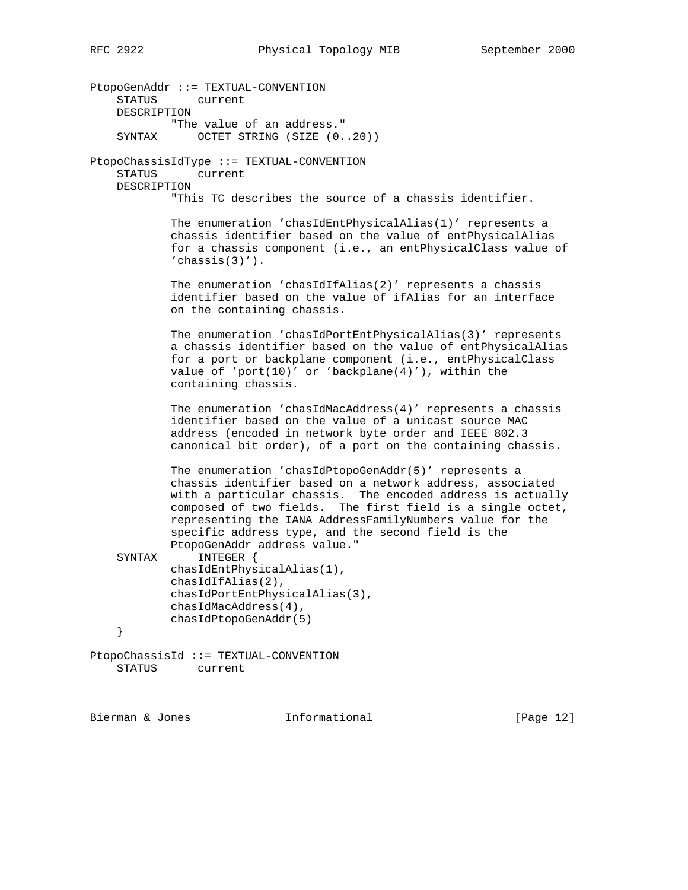PtopoGenAddr ::= TEXTUAL-CONVENTION STATUS current DESCRIPTION "The value of an address." SYNTAX OCTET STRING (SIZE (0..20)) PtopoChassisIdType ::= TEXTUAL-CONVENTION STATUS current DESCRIPTION "This TC describes the source of a chassis identifier. The enumeration 'chasIdEntPhysicalAlias(1)' represents a chassis identifier based on the value of entPhysicalAlias for a chassis component (i.e., an entPhysicalClass value of  $'$ chassis $(3)'$ ). The enumeration 'chasIdIfAlias(2)' represents a chassis identifier based on the value of ifAlias for an interface on the containing chassis. The enumeration 'chasIdPortEntPhysicalAlias(3)' represents a chassis identifier based on the value of entPhysicalAlias for a port or backplane component (i.e., entPhysicalClass value of 'port(10)' or 'backplane(4)'), within the containing chassis. The enumeration 'chasIdMacAddress(4)' represents a chassis identifier based on the value of a unicast source MAC address (encoded in network byte order and IEEE 802.3 canonical bit order), of a port on the containing chassis. The enumeration 'chasIdPtopoGenAddr(5)' represents a chassis identifier based on a network address, associated with a particular chassis. The encoded address is actually composed of two fields. The first field is a single octet, representing the IANA AddressFamilyNumbers value for the specific address type, and the second field is the PtopoGenAddr address value." SYNTAX INTEGER { chasIdEntPhysicalAlias(1), chasIdIfAlias(2), chasIdPortEntPhysicalAlias(3), chasIdMacAddress(4), chasIdPtopoGenAddr(5) } PtopoChassisId ::= TEXTUAL-CONVENTION STATUS current

Bierman & Jones **Informational** [Page 12]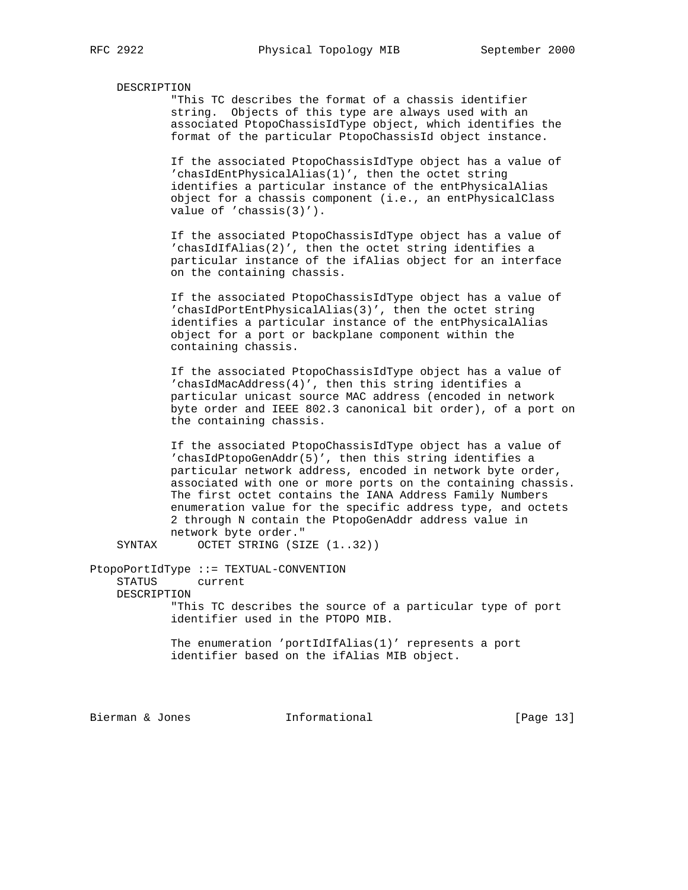#### DESCRIPTION

 "This TC describes the format of a chassis identifier string. Objects of this type are always used with an associated PtopoChassisIdType object, which identifies the format of the particular PtopoChassisId object instance.

 If the associated PtopoChassisIdType object has a value of 'chasIdEntPhysicalAlias(1)', then the octet string identifies a particular instance of the entPhysicalAlias object for a chassis component (i.e., an entPhysicalClass value of 'chassis(3)').

 If the associated PtopoChassisIdType object has a value of 'chasIdIfAlias(2)', then the octet string identifies a particular instance of the ifAlias object for an interface on the containing chassis.

 If the associated PtopoChassisIdType object has a value of 'chasIdPortEntPhysicalAlias(3)', then the octet string identifies a particular instance of the entPhysicalAlias object for a port or backplane component within the containing chassis.

 If the associated PtopoChassisIdType object has a value of 'chasIdMacAddress(4)', then this string identifies a particular unicast source MAC address (encoded in network byte order and IEEE 802.3 canonical bit order), of a port on the containing chassis.

 If the associated PtopoChassisIdType object has a value of 'chasIdPtopoGenAddr(5)', then this string identifies a particular network address, encoded in network byte order, associated with one or more ports on the containing chassis. The first octet contains the IANA Address Family Numbers enumeration value for the specific address type, and octets 2 through N contain the PtopoGenAddr address value in network byte order."

SYNTAX OCTET STRING (SIZE  $(1..32)$ )

PtopoPortIdType ::= TEXTUAL-CONVENTION

STATUS current

DESCRIPTION

 "This TC describes the source of a particular type of port identifier used in the PTOPO MIB.

 The enumeration 'portIdIfAlias(1)' represents a port identifier based on the ifAlias MIB object.

Bierman & Jones **Informational** [Page 13]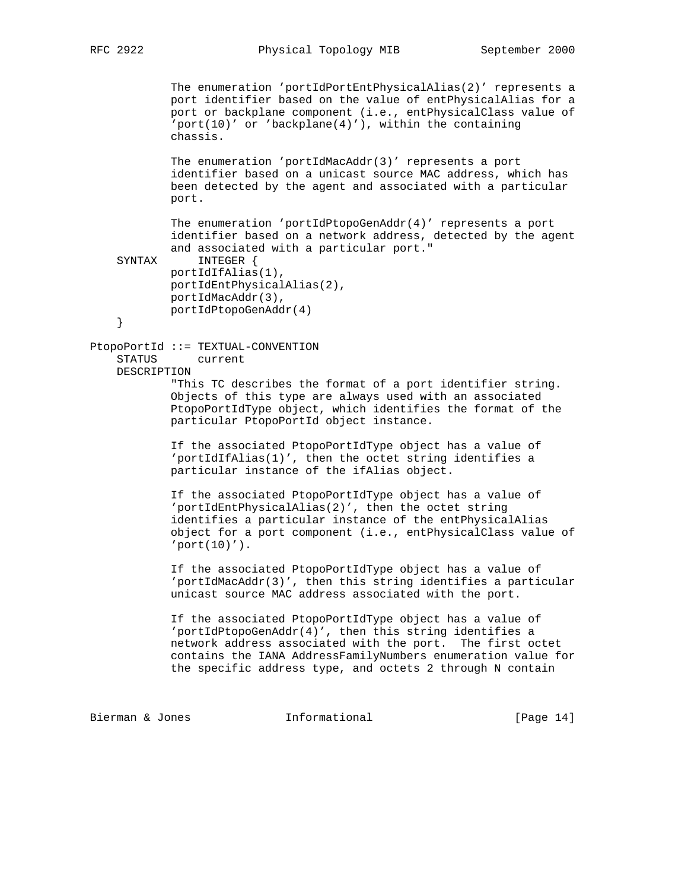The enumeration 'portIdPortEntPhysicalAlias(2)' represents a port identifier based on the value of entPhysicalAlias for a port or backplane component (i.e., entPhysicalClass value of 'port(10)' or 'backplane(4)'), within the containing chassis.

 The enumeration 'portIdMacAddr(3)' represents a port identifier based on a unicast source MAC address, which has been detected by the agent and associated with a particular port.

 The enumeration 'portIdPtopoGenAddr(4)' represents a port identifier based on a network address, detected by the agent and associated with a particular port."

```
 SYNTAX INTEGER {
       portIdIfAlias(1),
        portIdEntPhysicalAlias(2),
        portIdMacAddr(3),
        portIdPtopoGenAddr(4)
```

```
 }
```
PtopoPortId ::= TEXTUAL-CONVENTION STATUS current DESCRIPTION

> "This TC describes the format of a port identifier string. Objects of this type are always used with an associated PtopoPortIdType object, which identifies the format of the particular PtopoPortId object instance.

 If the associated PtopoPortIdType object has a value of 'portIdIfAlias(1)', then the octet string identifies a particular instance of the ifAlias object.

 If the associated PtopoPortIdType object has a value of 'portIdEntPhysicalAlias(2)', then the octet string identifies a particular instance of the entPhysicalAlias object for a port component (i.e., entPhysicalClass value of  $'$ port $(10)'$ .

 If the associated PtopoPortIdType object has a value of 'portIdMacAddr(3)', then this string identifies a particular unicast source MAC address associated with the port.

 If the associated PtopoPortIdType object has a value of 'portIdPtopoGenAddr(4)', then this string identifies a network address associated with the port. The first octet contains the IANA AddressFamilyNumbers enumeration value for the specific address type, and octets 2 through N contain

Bierman & Jones 10 11 Informational 11 1949 [Page 14]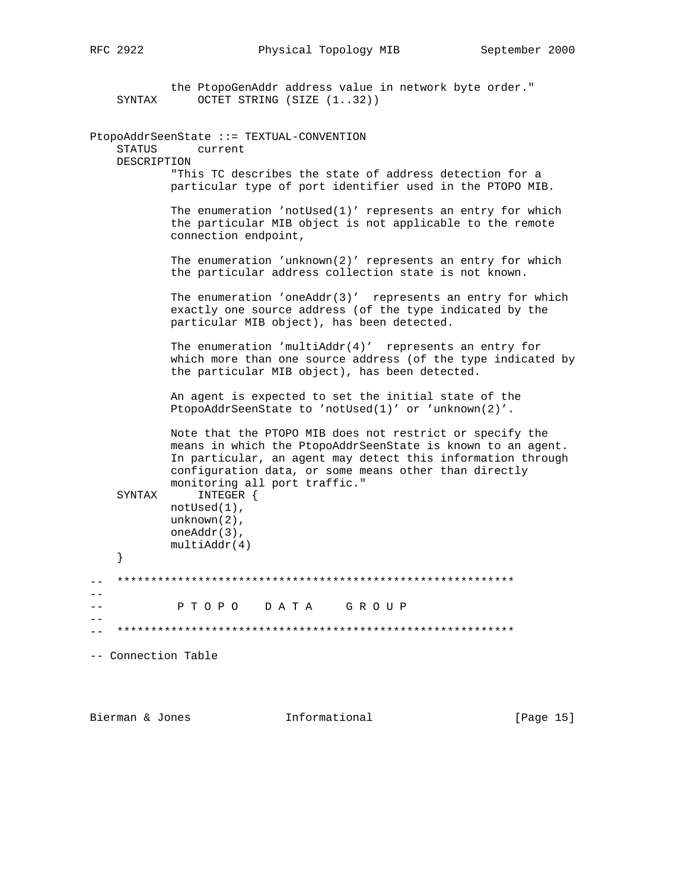|    | SYNTAX                | the PtopoGenAddr address value in network byte order."<br>OCTET STRING (SIZE (132))                                                                                                                                                                                              |
|----|-----------------------|----------------------------------------------------------------------------------------------------------------------------------------------------------------------------------------------------------------------------------------------------------------------------------|
|    | STATUS<br>DESCRIPTION | PtopoAddrSeenState ::= TEXTUAL-CONVENTION<br>current                                                                                                                                                                                                                             |
|    |                       | "This TC describes the state of address detection for a<br>particular type of port identifier used in the PTOPO MIB.                                                                                                                                                             |
|    |                       | The enumeration 'notUsed $(1)'$ represents an entry for which<br>the particular MIB object is not applicable to the remote<br>connection endpoint,                                                                                                                               |
|    |                       | The enumeration 'unknown(2)' represents an entry for which<br>the particular address collection state is not known.                                                                                                                                                              |
|    |                       | The enumeration 'oneAddr(3)' represents an entry for which<br>exactly one source address (of the type indicated by the<br>particular MIB object), has been detected.                                                                                                             |
|    |                       | The enumeration 'multiAddr(4)' represents an entry for<br>which more than one source address (of the type indicated by<br>the particular MIB object), has been detected.                                                                                                         |
|    |                       | An agent is expected to set the initial state of the<br>PtopoAddrSeenState to 'notUsed(1)' or 'unknown(2)'.                                                                                                                                                                      |
|    |                       | Note that the PTOPO MIB does not restrict or specify the<br>means in which the PtopoAddrSeenState is known to an agent.<br>In particular, an agent may detect this information through<br>configuration data, or some means other than directly<br>monitoring all port traffic." |
|    | SYNTAX                | INTEGER {<br>$not$ Used $(1)$ ,<br>$unknown(2)$ ,<br>$oneAddr(3)$ ,<br>multiAddr(4)                                                                                                                                                                                              |
|    | }                     |                                                                                                                                                                                                                                                                                  |
|    |                       |                                                                                                                                                                                                                                                                                  |
|    |                       | D A T A<br>P T O P O<br>GROUP                                                                                                                                                                                                                                                    |
| -- |                       |                                                                                                                                                                                                                                                                                  |
|    | -- Connection Table   |                                                                                                                                                                                                                                                                                  |
|    |                       |                                                                                                                                                                                                                                                                                  |

Bierman & Jones 10.1 Informational 1.1 [Page 15]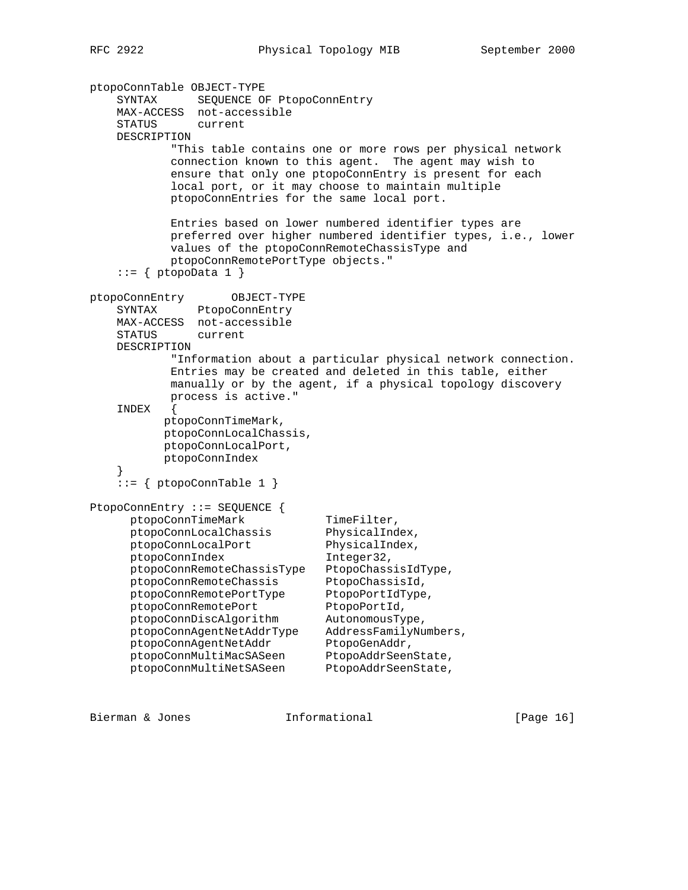```
ptopoConnTable OBJECT-TYPE
     SYNTAX SEQUENCE OF PtopoConnEntry
    MAX-ACCESS not-accessible
     STATUS current
    DESCRIPTION
             "This table contains one or more rows per physical network
            connection known to this agent. The agent may wish to
            ensure that only one ptopoConnEntry is present for each
            local port, or it may choose to maintain multiple
            ptopoConnEntries for the same local port.
            Entries based on lower numbered identifier types are
            preferred over higher numbered identifier types, i.e., lower
            values of the ptopoConnRemoteChassisType and
            ptopoConnRemotePortType objects."
    ::= \{ptopobata 1\}ptopoConnEntry OBJECT-TYPE
    SYNTAX PtopoConnEntry
    MAX-ACCESS not-accessible
    STATUS current
    DESCRIPTION
             "Information about a particular physical network connection.
            Entries may be created and deleted in this table, either
            manually or by the agent, if a physical topology discovery
            process is active."
     INDEX {
           ptopoConnTimeMark,
           ptopoConnLocalChassis,
           ptopoConnLocalPort,
           ptopoConnIndex
     }
    \therefore = { ptopoConnTable 1 }
PtopoConnEntry ::= SEQUENCE {
     ptopoConnTimeMark TimeFilter,
     ptopoConnLocalChassis PhysicalIndex,<br>ptopoConnLocalPort PhysicalIndex,<br>ptopoConnIndex Integer32,
     ptopoConnLocalPort
     ptopoConnIndex
      ptopoConnRemoteChassisType PtopoChassisIdType,
 ptopoConnRemoteChassis PtopoChassisId,
ptopoConnRemotePortType PtopoPortIdType,
ptopoConnRemotePort PtopoPortId,
 ptopoConnDiscAlgorithm AutonomousType,
 ptopoConnAgentNetAddrType AddressFamilyNumbers,
ptopoConnAgentNetAddr PtopoGenAddr,
ptopoConnMultiMacSASeen PtopoAddrSeenState,
ptopoConnMultiNetSASeen PtopoAddrSeenState,
```
Bierman & Jones **Informational** [Page 16]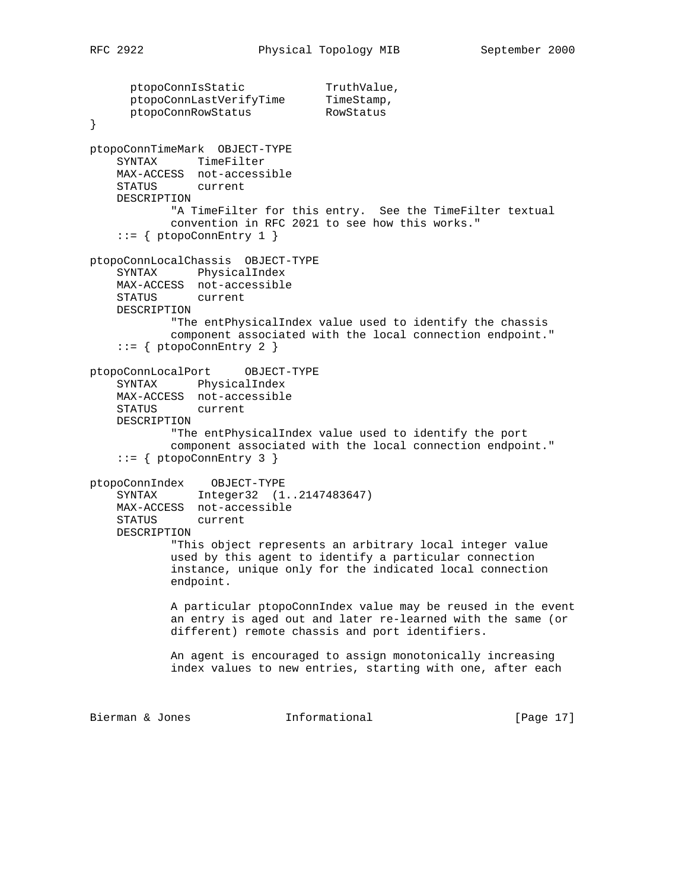```
ptopoConnIsStatic TruthValue,
ptopoConnLastVerifyTime TimeStamp,
```

```
 ptopoConnRowStatus RowStatus
}
ptopoConnTimeMark OBJECT-TYPE
    SYNTAX TimeFilter
    MAX-ACCESS not-accessible
    STATUS current
    DESCRIPTION
            "A TimeFilter for this entry. See the TimeFilter textual
            convention in RFC 2021 to see how this works."
     ::= { ptopoConnEntry 1 }
ptopoConnLocalChassis OBJECT-TYPE
    SYNTAX PhysicalIndex
    MAX-ACCESS not-accessible
    STATUS current
    DESCRIPTION
            "The entPhysicalIndex value used to identify the chassis
            component associated with the local connection endpoint."
    ::= { ptopoConnEntry 2 }
ptopoConnLocalPort OBJECT-TYPE
    SYNTAX PhysicalIndex
    MAX-ACCESS not-accessible
    STATUS current
    DESCRIPTION
            "The entPhysicalIndex value used to identify the port
            component associated with the local connection endpoint."
    ::= { ptopoConnEntry 3 }
ptopoConnIndex OBJECT-TYPE
    SYNTAX Integer32 (1..2147483647)
    MAX-ACCESS not-accessible
    STATUS current
    DESCRIPTION
            "This object represents an arbitrary local integer value
            used by this agent to identify a particular connection
            instance, unique only for the indicated local connection
            endpoint.
            A particular ptopoConnIndex value may be reused in the event
            an entry is aged out and later re-learned with the same (or
            different) remote chassis and port identifiers.
            An agent is encouraged to assign monotonically increasing
            index values to new entries, starting with one, after each
Bierman & Jones Informational [Page 17]
```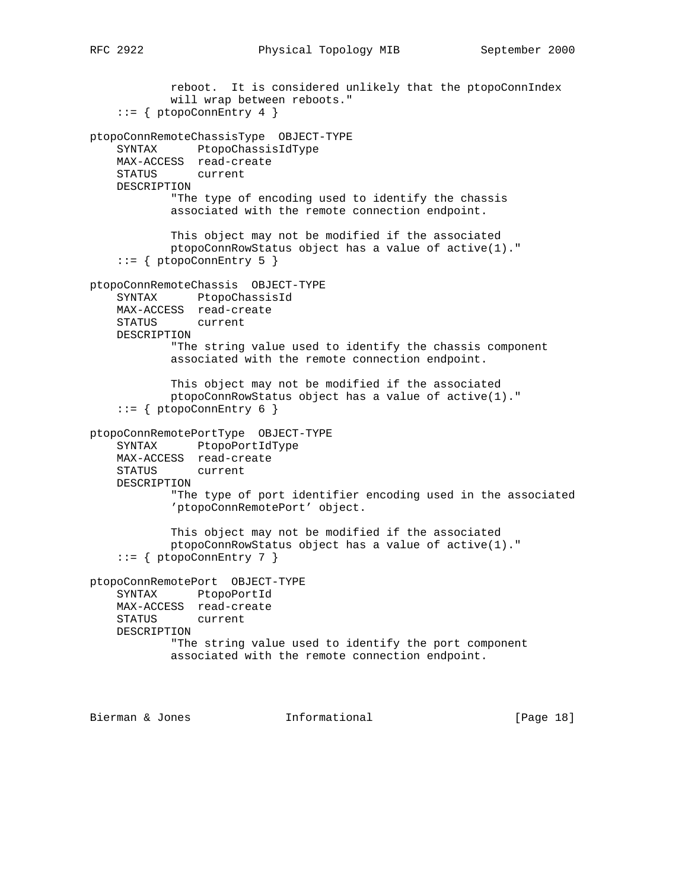```
 reboot. It is considered unlikely that the ptopoConnIndex
            will wrap between reboots."
    ::= { ptopoConnEntry 4 }
ptopoConnRemoteChassisType OBJECT-TYPE
     SYNTAX PtopoChassisIdType
    MAX-ACCESS read-create
     STATUS current
    DESCRIPTION
            "The type of encoding used to identify the chassis
            associated with the remote connection endpoint.
            This object may not be modified if the associated
            ptopoConnRowStatus object has a value of active(1)."
    ::= { ptopoConnEntry 5 }
ptopoConnRemoteChassis OBJECT-TYPE
     SYNTAX PtopoChassisId
    MAX-ACCESS read-create
    STATUS current
    DESCRIPTION
            "The string value used to identify the chassis component
            associated with the remote connection endpoint.
            This object may not be modified if the associated
            ptopoConnRowStatus object has a value of active(1)."
    ::= { ptopoConnEntry 6 }
ptopoConnRemotePortType OBJECT-TYPE
     SYNTAX PtopoPortIdType
    MAX-ACCESS read-create
    STATUS current
    DESCRIPTION
             "The type of port identifier encoding used in the associated
             'ptopoConnRemotePort' object.
            This object may not be modified if the associated
            ptopoConnRowStatus object has a value of active(1)."
    ::= { ptopoConnEntry 7 }
ptopoConnRemotePort OBJECT-TYPE
    SYNTAX PtopoPortId
    MAX-ACCESS read-create
```
 STATUS current DESCRIPTION

```
 "The string value used to identify the port component
 associated with the remote connection endpoint.
```
Bierman & Jones **Informational** [Page 18]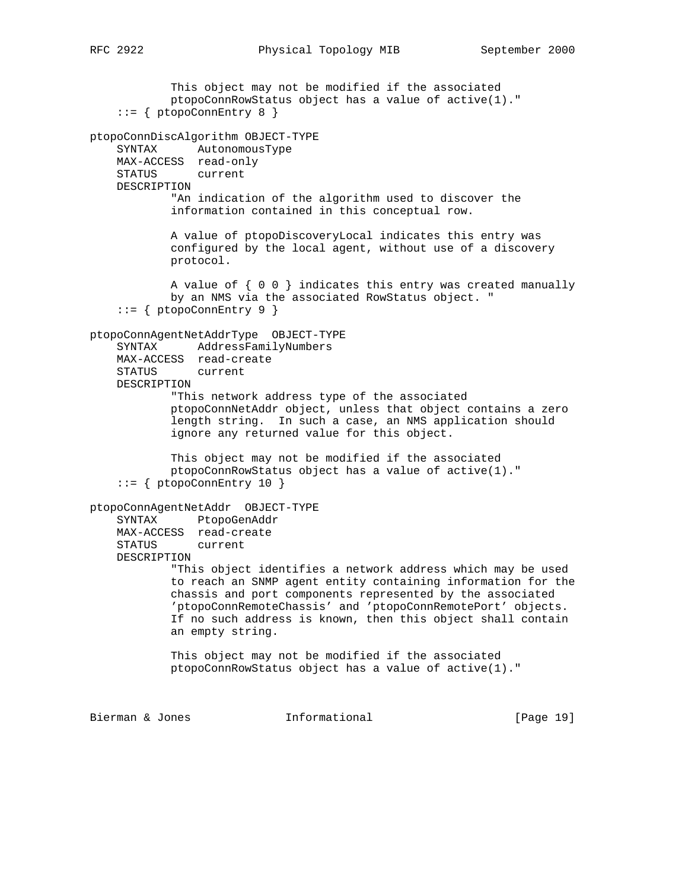This object may not be modified if the associated ptopoConnRowStatus object has a value of active(1)."  $::=$  { ptopoConnEntry 8 } ptopoConnDiscAlgorithm OBJECT-TYPE SYNTAX AutonomousType MAX-ACCESS read-only STATUS current DESCRIPTION "An indication of the algorithm used to discover the information contained in this conceptual row. A value of ptopoDiscoveryLocal indicates this entry was configured by the local agent, without use of a discovery protocol. A value of { 0 0 } indicates this entry was created manually by an NMS via the associated RowStatus object. " ::= { ptopoConnEntry 9 } ptopoConnAgentNetAddrType OBJECT-TYPE SYNTAX AddressFamilyNumbers MAX-ACCESS read-create STATUS current DESCRIPTION "This network address type of the associated ptopoConnNetAddr object, unless that object contains a zero length string. In such a case, an NMS application should ignore any returned value for this object. This object may not be modified if the associated ptopoConnRowStatus object has a value of active(1)." ::= { ptopoConnEntry 10 } ptopoConnAgentNetAddr OBJECT-TYPE SYNTAX PtopoGenAddr MAX-ACCESS read-create STATUS current DESCRIPTION "This object identifies a network address which may be used to reach an SNMP agent entity containing information for the chassis and port components represented by the associated 'ptopoConnRemoteChassis' and 'ptopoConnRemotePort' objects. If no such address is known, then this object shall contain an empty string. This object may not be modified if the associated ptopoConnRowStatus object has a value of active(1)." Bierman & Jones Informational [Page 19]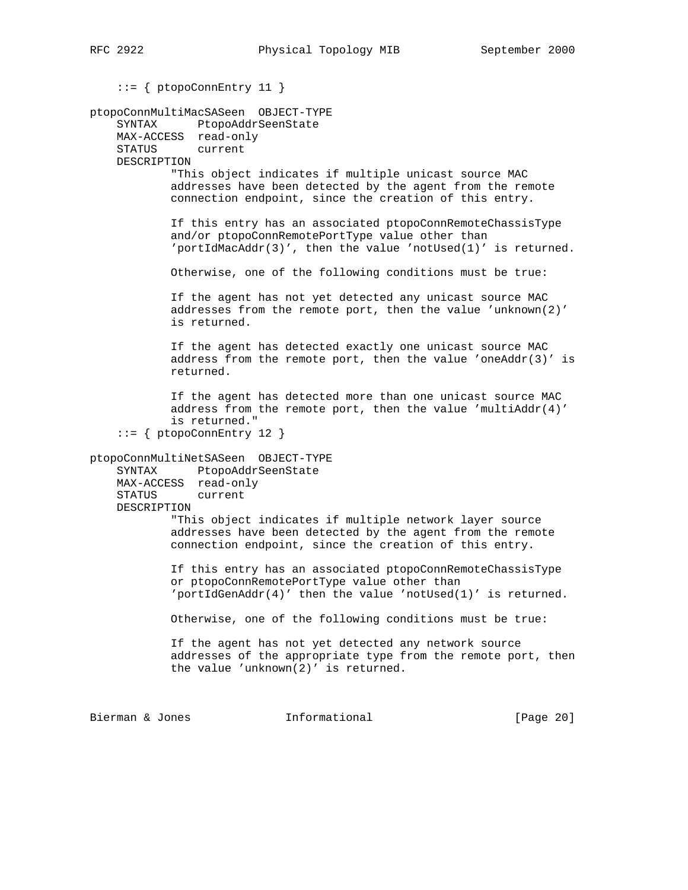```
 ::= { ptopoConnEntry 11 }
ptopoConnMultiMacSASeen OBJECT-TYPE
     SYNTAX PtopoAddrSeenState
     MAX-ACCESS read-only
     STATUS current
     DESCRIPTION
             "This object indicates if multiple unicast source MAC
             addresses have been detected by the agent from the remote
             connection endpoint, since the creation of this entry.
             If this entry has an associated ptopoConnRemoteChassisType
             and/or ptopoConnRemotePortType value other than
             'portIdMacAddr(3)', then the value 'notUsed(1)' is returned.
             Otherwise, one of the following conditions must be true:
             If the agent has not yet detected any unicast source MAC
             addresses from the remote port, then the value 'unknown(2)'
             is returned.
             If the agent has detected exactly one unicast source MAC
            address from the remote port, then the value 'oneAddr(3)' is
             returned.
             If the agent has detected more than one unicast source MAC
            address from the remote port, then the value 'multiAddr(4)'
             is returned."
```
::= { ptopoConnEntry 12 }

ptopoConnMultiNetSASeen OBJECT-TYPE SYNTAX PtopoAddrSeenState

 MAX-ACCESS read-only STATUS current DESCRIPTION

 "This object indicates if multiple network layer source addresses have been detected by the agent from the remote connection endpoint, since the creation of this entry.

 If this entry has an associated ptopoConnRemoteChassisType or ptopoConnRemotePortType value other than 'portIdGenAddr(4)' then the value 'notUsed(1)' is returned.

Otherwise, one of the following conditions must be true:

 If the agent has not yet detected any network source addresses of the appropriate type from the remote port, then the value 'unknown(2)' is returned.

Bierman & Jones 1nformational [Page 20]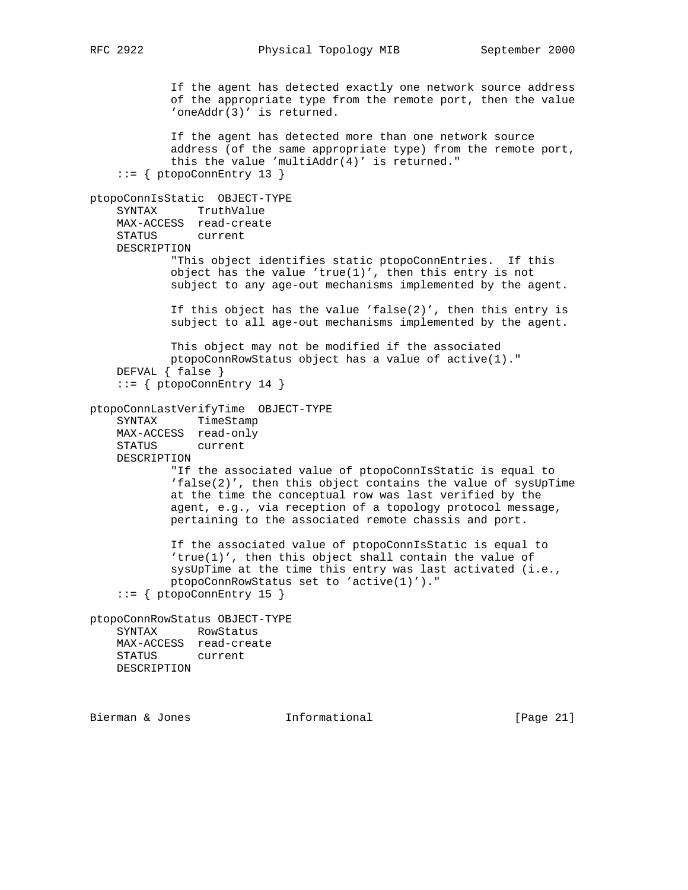RFC 2922 Physical Topology MIB September 2000

 If the agent has detected exactly one network source address of the appropriate type from the remote port, then the value 'oneAddr(3)' is returned. If the agent has detected more than one network source address (of the same appropriate type) from the remote port, this the value 'multiAddr(4)' is returned."  $::=$  { ptopoConnEntry 13 } ptopoConnIsStatic OBJECT-TYPE SYNTAX TruthValue MAX-ACCESS read-create STATUS current DESCRIPTION "This object identifies static ptopoConnEntries. If this object has the value 'true(1)', then this entry is not subject to any age-out mechanisms implemented by the agent. If this object has the value 'false(2)', then this entry is subject to all age-out mechanisms implemented by the agent. This object may not be modified if the associated ptopoConnRowStatus object has a value of active(1)." DEFVAL { false } ::= { ptopoConnEntry 14 } ptopoConnLastVerifyTime OBJECT-TYPE SYNTAX TimeStamp MAX-ACCESS read-only STATUS current DESCRIPTION "If the associated value of ptopoConnIsStatic is equal to 'false(2)', then this object contains the value of sysUpTime at the time the conceptual row was last verified by the agent, e.g., via reception of a topology protocol message, pertaining to the associated remote chassis and port. If the associated value of ptopoConnIsStatic is equal to 'true(1)', then this object shall contain the value of sysUpTime at the time this entry was last activated (i.e., ptopoConnRowStatus set to 'active(1)')."  $::=$  { ptopoConnEntry 15 } ptopoConnRowStatus OBJECT-TYPE SYNTAX RowStatus MAX-ACCESS read-create STATUS current DESCRIPTION

Bierman & Jones **Informational** [Page 21]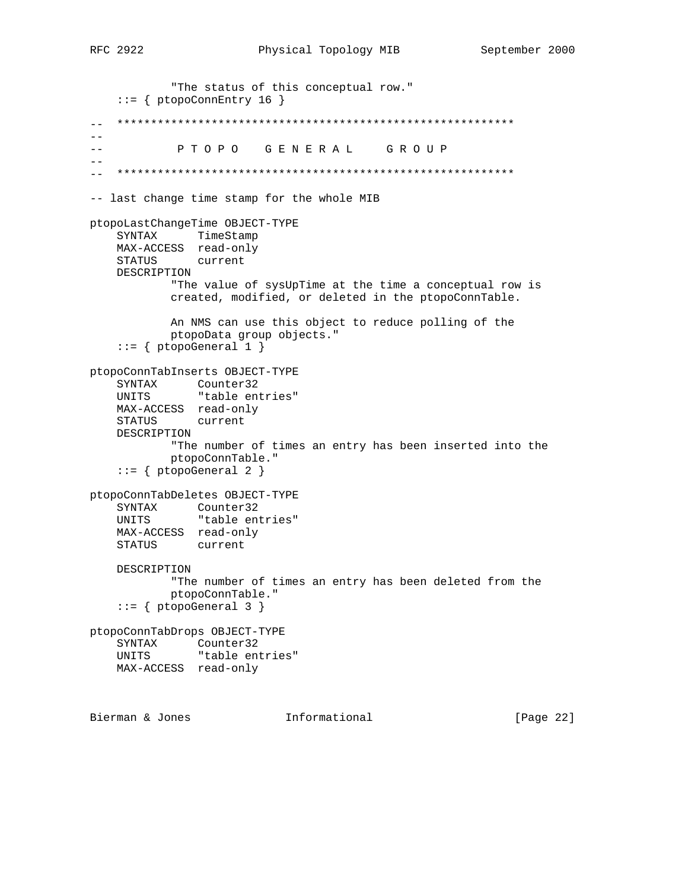```
 "The status of this conceptual row."
    ::= { ptopoConnEntry 16 }
   -- ***********************************************************
-\,--- P T O P O G E N E R A L G R O U P
- --- ***********************************************************
-- last change time stamp for the whole MIB
ptopoLastChangeTime OBJECT-TYPE
    SYNTAX TimeStamp
    MAX-ACCESS read-only
    STATUS current
    DESCRIPTION
            "The value of sysUpTime at the time a conceptual row is
            created, modified, or deleted in the ptopoConnTable.
            An NMS can use this object to reduce polling of the
            ptopoData group objects."
    ::= { ptopoGeneral 1 }
ptopoConnTabInserts OBJECT-TYPE
    SYNTAX Counter32
   UNITS "table entries"
    MAX-ACCESS read-only
    STATUS current
    DESCRIPTION
            "The number of times an entry has been inserted into the
            ptopoConnTable."
    ::= { ptopoGeneral 2 }
ptopoConnTabDeletes OBJECT-TYPE
 SYNTAX Counter32
 UNITS "table entries"
    MAX-ACCESS read-only
    STATUS current
    DESCRIPTION
            "The number of times an entry has been deleted from the
            ptopoConnTable."
    ::= { ptopoGeneral 3 }
ptopoConnTabDrops OBJECT-TYPE
   SYNTAX Counter32<br>UNITS "table ent
              "table entries"
    MAX-ACCESS read-only
Bierman & Jones Informational [Page 22]
```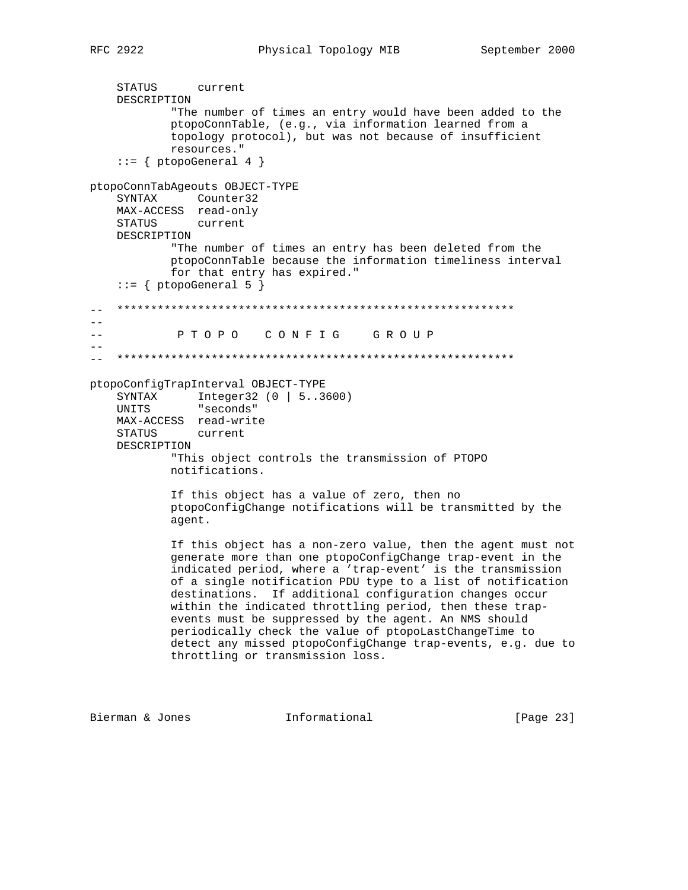```
 STATUS current
```

```
 DESCRIPTION
            "The number of times an entry would have been added to the
            ptopoConnTable, (e.g., via information learned from a
            topology protocol), but was not because of insufficient
            resources."
    ::= { ptopoGeneral 4 }
ptopoConnTabAgeouts OBJECT-TYPE
     SYNTAX Counter32
    MAX-ACCESS read-only
    STATUS current
    DESCRIPTION
            "The number of times an entry has been deleted from the
            ptopoConnTable because the information timeliness interval
             for that entry has expired."
    ::= { ptopoGeneral 5 }
   -- ***********************************************************
---- P T O P O C O N F I G G R O U P
--
-- ***********************************************************
ptopoConfigTrapInterval OBJECT-TYPE
 SYNTAX Integer32 (0 | 5..3600)
 UNITS "seconds"
    MAX-ACCESS read-write
     STATUS current
    DESCRIPTION
            "This object controls the transmission of PTOPO
            notifications.
            If this object has a value of zero, then no
            ptopoConfigChange notifications will be transmitted by the
            agent.
             If this object has a non-zero value, then the agent must not
            generate more than one ptopoConfigChange trap-event in the
             indicated period, where a 'trap-event' is the transmission
            of a single notification PDU type to a list of notification
            destinations. If additional configuration changes occur
            within the indicated throttling period, then these trap-
            events must be suppressed by the agent. An NMS should
            periodically check the value of ptopoLastChangeTime to
            detect any missed ptopoConfigChange trap-events, e.g. due to
            throttling or transmission loss.
```
Bierman & Jones **Informational** [Page 23]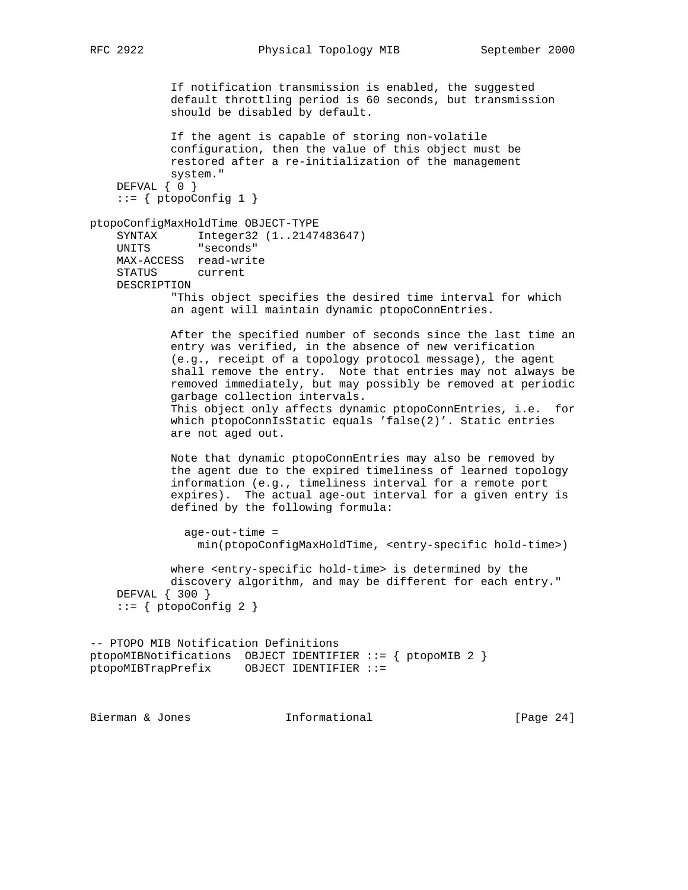If notification transmission is enabled, the suggested default throttling period is 60 seconds, but transmission should be disabled by default. If the agent is capable of storing non-volatile configuration, then the value of this object must be restored after a re-initialization of the management system." DEFVAL { 0 }  $::=$  { ptopoConfig 1 } ptopoConfigMaxHoldTime OBJECT-TYPE SYNTAX Integer32 (1..2147483647) UNITS "seconds" MAX-ACCESS read-write STATUS current DESCRIPTION "This object specifies the desired time interval for which an agent will maintain dynamic ptopoConnEntries. After the specified number of seconds since the last time an entry was verified, in the absence of new verification (e.g., receipt of a topology protocol message), the agent shall remove the entry. Note that entries may not always be removed immediately, but may possibly be removed at periodic garbage collection intervals. This object only affects dynamic ptopoConnEntries, i.e. for which ptopoConnIsStatic equals 'false(2)'. Static entries are not aged out. Note that dynamic ptopoConnEntries may also be removed by the agent due to the expired timeliness of learned topology information (e.g., timeliness interval for a remote port expires). The actual age-out interval for a given entry is defined by the following formula: age-out-time = min(ptopoConfigMaxHoldTime, <entry-specific hold-time>) where <entry-specific hold-time> is determined by the discovery algorithm, and may be different for each entry." DEFVAL { 300 }  $::= {$  ptopoConfig 2 } -- PTOPO MIB Notification Definitions ptopoMIBNotifications OBJECT IDENTIFIER ::= { ptopoMIB 2 } ptopoMIBTrapPrefix OBJECT IDENTIFIER ::= Bierman & Jones 1nformational [Page 24]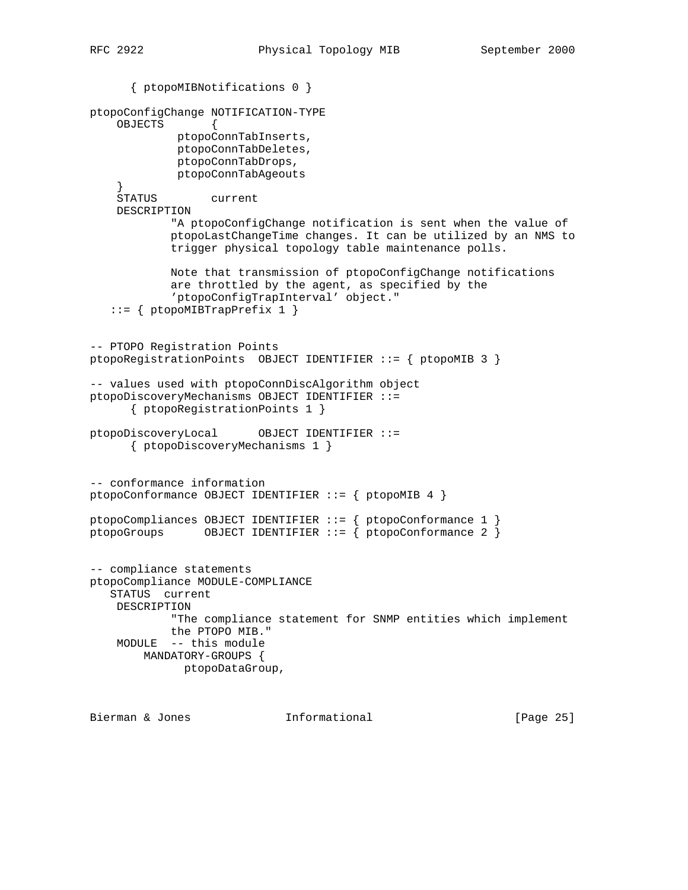```
 { ptopoMIBNotifications 0 }
ptopoConfigChange NOTIFICATION-TYPE
     OBJECTS {
             ptopoConnTabInserts,
             ptopoConnTabDeletes,
              ptopoConnTabDrops,
              ptopoConnTabAgeouts
     }
     STATUS current
     DESCRIPTION
             "A ptopoConfigChange notification is sent when the value of
             ptopoLastChangeTime changes. It can be utilized by an NMS to
             trigger physical topology table maintenance polls.
             Note that transmission of ptopoConfigChange notifications
             are throttled by the agent, as specified by the
             'ptopoConfigTrapInterval' object."
    ::= { ptopoMIBTrapPrefix 1 }
-- PTOPO Registration Points
ptopoRegistrationPoints OBJECT IDENTIFIER ::= { ptopoMIB 3 }
-- values used with ptopoConnDiscAlgorithm object
ptopoDiscoveryMechanisms OBJECT IDENTIFIER ::=
       { ptopoRegistrationPoints 1 }
ptopoDiscoveryLocal OBJECT IDENTIFIER ::=
       { ptopoDiscoveryMechanisms 1 }
-- conformance information
ptopoConformance OBJECT IDENTIFIER ::= { ptopoMIB 4 }
ptopoCompliances OBJECT IDENTIFIER ::= { ptopoConformance 1 }
ptopoGroups OBJECT IDENTIFIER ::= { ptopoConformance 2 }
-- compliance statements
ptopoCompliance MODULE-COMPLIANCE
    STATUS current
    DESCRIPTION
             "The compliance statement for SNMP entities which implement
             the PTOPO MIB."
     MODULE -- this module
        MANDATORY-GROUPS {
               ptopoDataGroup,
```
Bierman & Jones **Informational** [Page 25]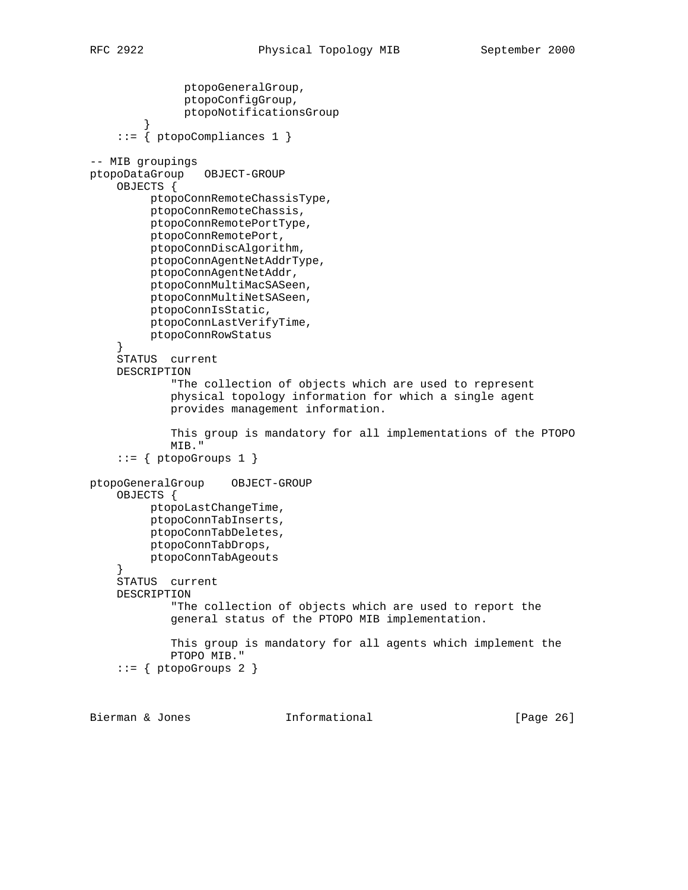```
 ptopoGeneralGroup,
               ptopoConfigGroup,
               ptopoNotificationsGroup
 }
     ::= { ptopoCompliances 1 }
-- MIB groupings
ptopoDataGroup OBJECT-GROUP
     OBJECTS {
          ptopoConnRemoteChassisType,
          ptopoConnRemoteChassis,
          ptopoConnRemotePortType,
          ptopoConnRemotePort,
          ptopoConnDiscAlgorithm,
          ptopoConnAgentNetAddrType,
          ptopoConnAgentNetAddr,
          ptopoConnMultiMacSASeen,
          ptopoConnMultiNetSASeen,
          ptopoConnIsStatic,
          ptopoConnLastVerifyTime,
          ptopoConnRowStatus
     }
     STATUS current
     DESCRIPTION
             "The collection of objects which are used to represent
             physical topology information for which a single agent
             provides management information.
             This group is mandatory for all implementations of the PTOPO
             MIB."
    ::= { ptopoGroups 1 }
ptopoGeneralGroup OBJECT-GROUP
     OBJECTS {
          ptopoLastChangeTime,
          ptopoConnTabInserts,
          ptopoConnTabDeletes,
          ptopoConnTabDrops,
          ptopoConnTabAgeouts
 }
     STATUS current
     DESCRIPTION
             "The collection of objects which are used to report the
             general status of the PTOPO MIB implementation.
             This group is mandatory for all agents which implement the
             PTOPO MIB."
    ::= { ptopoGroups 2 }
```
Bierman & Jones **Informational** [Page 26]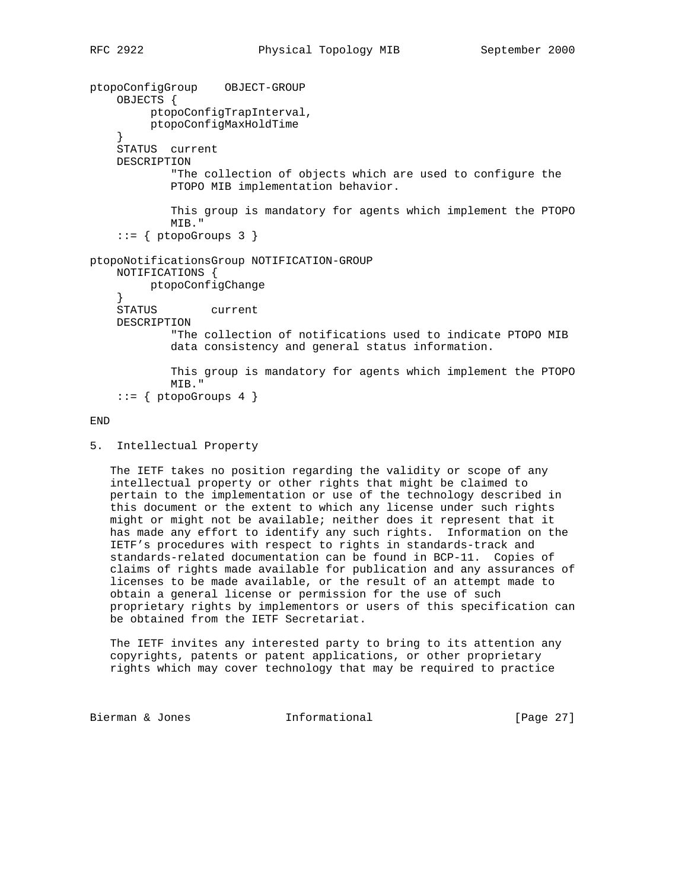```
ptopoConfigGroup OBJECT-GROUP
    OBJECTS {
          ptopoConfigTrapInterval,
          ptopoConfigMaxHoldTime
 }
     STATUS current
     DESCRIPTION
             "The collection of objects which are used to configure the
             PTOPO MIB implementation behavior.
             This group is mandatory for agents which implement the PTOPO
             MIB."
    ::= { ptopoGroups 3 }
ptopoNotificationsGroup NOTIFICATION-GROUP
    NOTIFICATIONS {
         ptopoConfigChange
     }
     STATUS current
    DESCRIPTION
             "The collection of notifications used to indicate PTOPO MIB
             data consistency and general status information.
             This group is mandatory for agents which implement the PTOPO
             MIB."
    ::= \{ptopoGroups 4\}
```
END

 The IETF takes no position regarding the validity or scope of any intellectual property or other rights that might be claimed to pertain to the implementation or use of the technology described in this document or the extent to which any license under such rights might or might not be available; neither does it represent that it has made any effort to identify any such rights. Information on the IETF's procedures with respect to rights in standards-track and standards-related documentation can be found in BCP-11. Copies of claims of rights made available for publication and any assurances of licenses to be made available, or the result of an attempt made to obtain a general license or permission for the use of such proprietary rights by implementors or users of this specification can be obtained from the IETF Secretariat.

 The IETF invites any interested party to bring to its attention any copyrights, patents or patent applications, or other proprietary rights which may cover technology that may be required to practice

Bierman & Jones **Informational** [Page 27]

<sup>5.</sup> Intellectual Property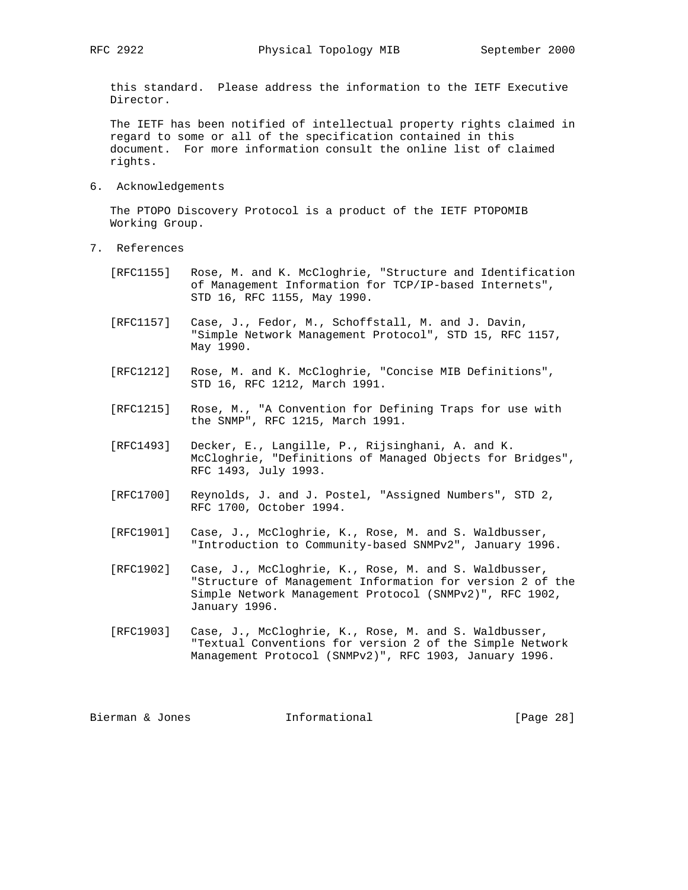this standard. Please address the information to the IETF Executive Director.

 The IETF has been notified of intellectual property rights claimed in regard to some or all of the specification contained in this document. For more information consult the online list of claimed rights.

6. Acknowledgements

 The PTOPO Discovery Protocol is a product of the IETF PTOPOMIB Working Group.

- 7. References
	- [RFC1155] Rose, M. and K. McCloghrie, "Structure and Identification of Management Information for TCP/IP-based Internets", STD 16, RFC 1155, May 1990.
	- [RFC1157] Case, J., Fedor, M., Schoffstall, M. and J. Davin, "Simple Network Management Protocol", STD 15, RFC 1157, May 1990.
	- [RFC1212] Rose, M. and K. McCloghrie, "Concise MIB Definitions", STD 16, RFC 1212, March 1991.
	- [RFC1215] Rose, M., "A Convention for Defining Traps for use with the SNMP", RFC 1215, March 1991.
	- [RFC1493] Decker, E., Langille, P., Rijsinghani, A. and K. McCloghrie, "Definitions of Managed Objects for Bridges", RFC 1493, July 1993.
	- [RFC1700] Reynolds, J. and J. Postel, "Assigned Numbers", STD 2, RFC 1700, October 1994.
	- [RFC1901] Case, J., McCloghrie, K., Rose, M. and S. Waldbusser, "Introduction to Community-based SNMPv2", January 1996.
	- [RFC1902] Case, J., McCloghrie, K., Rose, M. and S. Waldbusser, "Structure of Management Information for version 2 of the Simple Network Management Protocol (SNMPv2)", RFC 1902, January 1996.
	- [RFC1903] Case, J., McCloghrie, K., Rose, M. and S. Waldbusser, "Textual Conventions for version 2 of the Simple Network Management Protocol (SNMPv2)", RFC 1903, January 1996.

Bierman & Jones **Informational** [Page 28]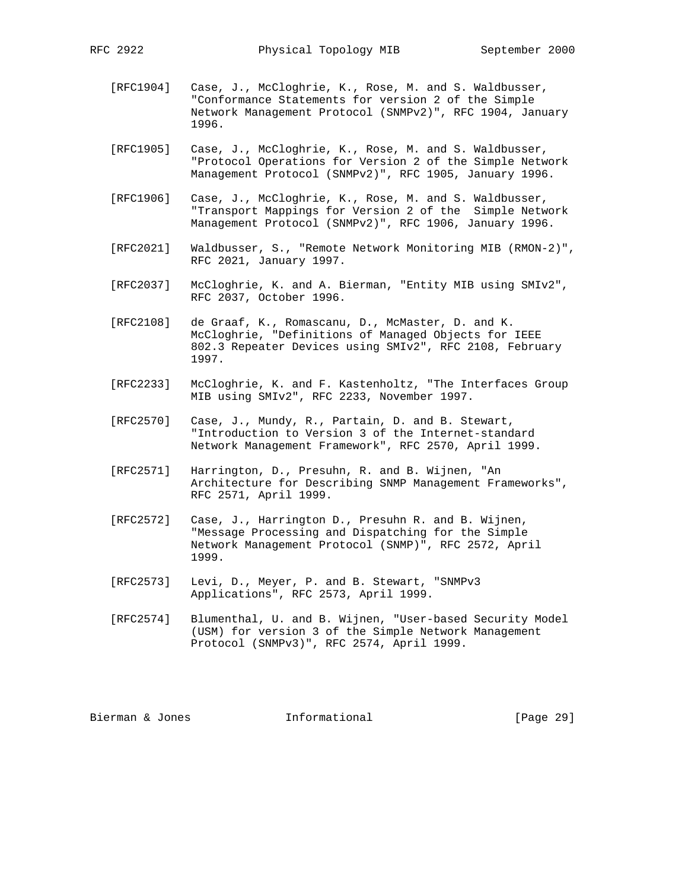- [RFC1904] Case, J., McCloghrie, K., Rose, M. and S. Waldbusser, "Conformance Statements for version 2 of the Simple Network Management Protocol (SNMPv2)", RFC 1904, January 1996.
- [RFC1905] Case, J., McCloghrie, K., Rose, M. and S. Waldbusser, "Protocol Operations for Version 2 of the Simple Network Management Protocol (SNMPv2)", RFC 1905, January 1996.
- [RFC1906] Case, J., McCloghrie, K., Rose, M. and S. Waldbusser, "Transport Mappings for Version 2 of the Simple Network Management Protocol (SNMPv2)", RFC 1906, January 1996.
- [RFC2021] Waldbusser, S., "Remote Network Monitoring MIB (RMON-2)", RFC 2021, January 1997.
- [RFC2037] McCloghrie, K. and A. Bierman, "Entity MIB using SMIv2", RFC 2037, October 1996.
- [RFC2108] de Graaf, K., Romascanu, D., McMaster, D. and K. McCloghrie, "Definitions of Managed Objects for IEEE 802.3 Repeater Devices using SMIv2", RFC 2108, February 1997.
- [RFC2233] McCloghrie, K. and F. Kastenholtz, "The Interfaces Group MIB using SMIv2", RFC 2233, November 1997.
- [RFC2570] Case, J., Mundy, R., Partain, D. and B. Stewart, "Introduction to Version 3 of the Internet-standard Network Management Framework", RFC 2570, April 1999.
- [RFC2571] Harrington, D., Presuhn, R. and B. Wijnen, "An Architecture for Describing SNMP Management Frameworks", RFC 2571, April 1999.
- [RFC2572] Case, J., Harrington D., Presuhn R. and B. Wijnen, "Message Processing and Dispatching for the Simple Network Management Protocol (SNMP)", RFC 2572, April 1999.
- [RFC2573] Levi, D., Meyer, P. and B. Stewart, "SNMPv3 Applications", RFC 2573, April 1999.
- [RFC2574] Blumenthal, U. and B. Wijnen, "User-based Security Model (USM) for version 3 of the Simple Network Management Protocol (SNMPv3)", RFC 2574, April 1999.

Bierman & Jones **Informational** [Page 29]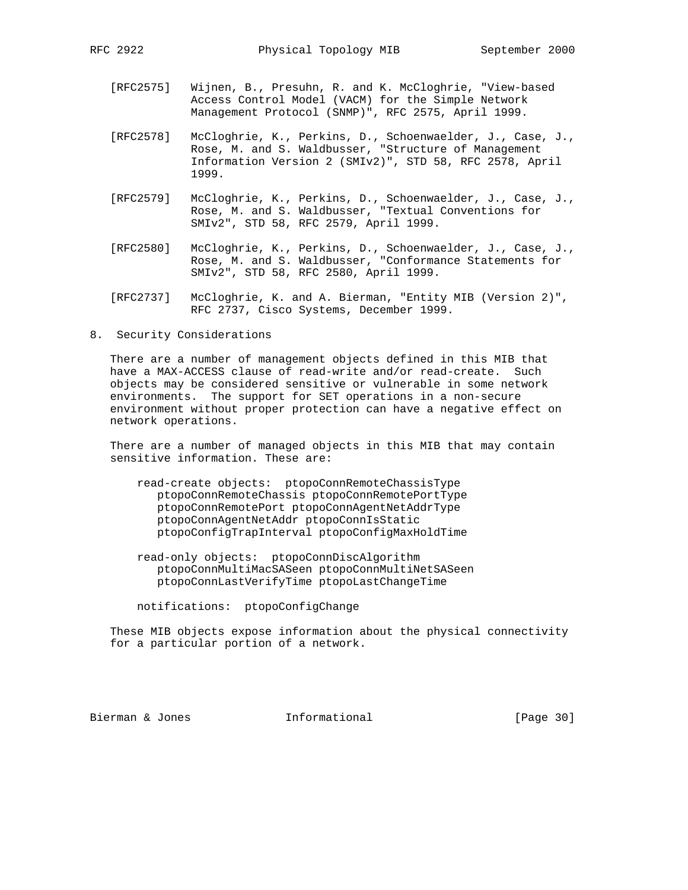- [RFC2575] Wijnen, B., Presuhn, R. and K. McCloghrie, "View-based Access Control Model (VACM) for the Simple Network Management Protocol (SNMP)", RFC 2575, April 1999.
- [RFC2578] McCloghrie, K., Perkins, D., Schoenwaelder, J., Case, J., Rose, M. and S. Waldbusser, "Structure of Management Information Version 2 (SMIv2)", STD 58, RFC 2578, April 1999.
	- [RFC2579] McCloghrie, K., Perkins, D., Schoenwaelder, J., Case, J., Rose, M. and S. Waldbusser, "Textual Conventions for SMIv2", STD 58, RFC 2579, April 1999.
- [RFC2580] McCloghrie, K., Perkins, D., Schoenwaelder, J., Case, J., Rose, M. and S. Waldbusser, "Conformance Statements for SMIv2", STD 58, RFC 2580, April 1999.
	- [RFC2737] McCloghrie, K. and A. Bierman, "Entity MIB (Version 2)", RFC 2737, Cisco Systems, December 1999.
- 8. Security Considerations

 There are a number of management objects defined in this MIB that have a MAX-ACCESS clause of read-write and/or read-create. Such objects may be considered sensitive or vulnerable in some network environments. The support for SET operations in a non-secure environment without proper protection can have a negative effect on network operations.

 There are a number of managed objects in this MIB that may contain sensitive information. These are:

- read-create objects: ptopoConnRemoteChassisType ptopoConnRemoteChassis ptopoConnRemotePortType ptopoConnRemotePort ptopoConnAgentNetAddrType ptopoConnAgentNetAddr ptopoConnIsStatic ptopoConfigTrapInterval ptopoConfigMaxHoldTime
- read-only objects: ptopoConnDiscAlgorithm ptopoConnMultiMacSASeen ptopoConnMultiNetSASeen ptopoConnLastVerifyTime ptopoLastChangeTime

notifications: ptopoConfigChange

 These MIB objects expose information about the physical connectivity for a particular portion of a network.

Bierman & Jones 1nformational [Page 30]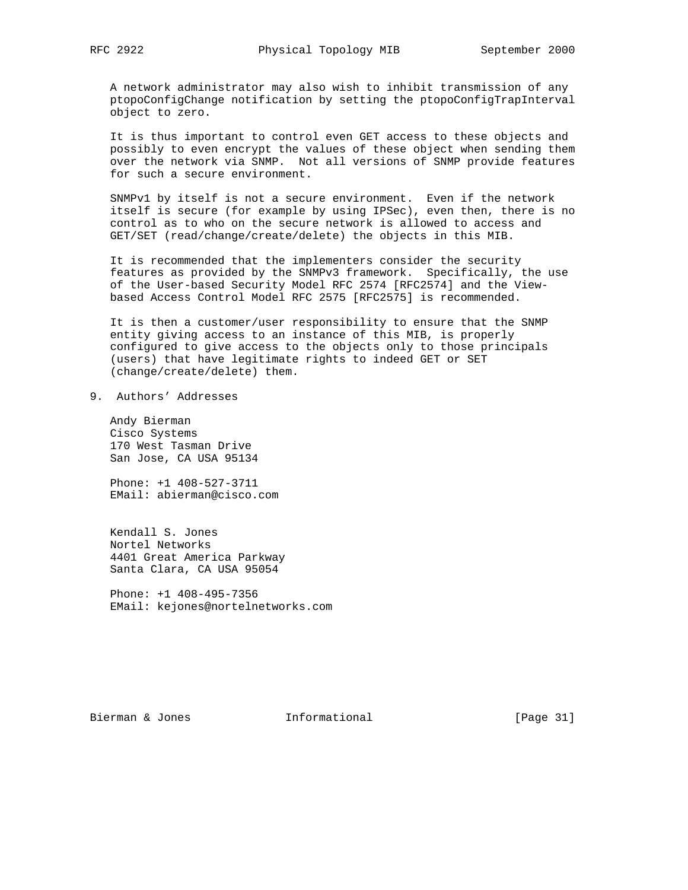A network administrator may also wish to inhibit transmission of any ptopoConfigChange notification by setting the ptopoConfigTrapInterval object to zero.

 It is thus important to control even GET access to these objects and possibly to even encrypt the values of these object when sending them over the network via SNMP. Not all versions of SNMP provide features for such a secure environment.

 SNMPv1 by itself is not a secure environment. Even if the network itself is secure (for example by using IPSec), even then, there is no control as to who on the secure network is allowed to access and GET/SET (read/change/create/delete) the objects in this MIB.

 It is recommended that the implementers consider the security features as provided by the SNMPv3 framework. Specifically, the use of the User-based Security Model RFC 2574 [RFC2574] and the View based Access Control Model RFC 2575 [RFC2575] is recommended.

 It is then a customer/user responsibility to ensure that the SNMP entity giving access to an instance of this MIB, is properly configured to give access to the objects only to those principals (users) that have legitimate rights to indeed GET or SET (change/create/delete) them.

9. Authors' Addresses

 Andy Bierman Cisco Systems 170 West Tasman Drive San Jose, CA USA 95134

 Phone: +1 408-527-3711 EMail: abierman@cisco.com

 Kendall S. Jones Nortel Networks 4401 Great America Parkway Santa Clara, CA USA 95054

 Phone: +1 408-495-7356 EMail: kejones@nortelnetworks.com

Bierman & Jones 1nformational [Page 31]